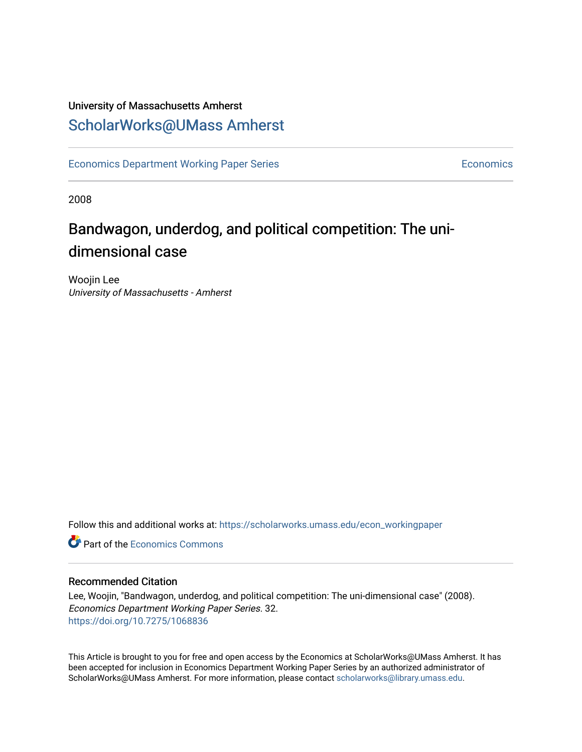### University of Massachusetts Amherst [ScholarWorks@UMass Amherst](https://scholarworks.umass.edu/)

[Economics Department Working Paper Series](https://scholarworks.umass.edu/econ_workingpaper) **Economics** Economics

2008

### Bandwagon, underdog, and political competition: The unidimensional case

Woojin Lee University of Massachusetts - Amherst

Follow this and additional works at: [https://scholarworks.umass.edu/econ\\_workingpaper](https://scholarworks.umass.edu/econ_workingpaper?utm_source=scholarworks.umass.edu%2Fecon_workingpaper%2F32&utm_medium=PDF&utm_campaign=PDFCoverPages) 

**C** Part of the [Economics Commons](http://network.bepress.com/hgg/discipline/340?utm_source=scholarworks.umass.edu%2Fecon_workingpaper%2F32&utm_medium=PDF&utm_campaign=PDFCoverPages)

#### Recommended Citation

Lee, Woojin, "Bandwagon, underdog, and political competition: The uni-dimensional case" (2008). Economics Department Working Paper Series. 32. <https://doi.org/10.7275/1068836>

This Article is brought to you for free and open access by the Economics at ScholarWorks@UMass Amherst. It has been accepted for inclusion in Economics Department Working Paper Series by an authorized administrator of ScholarWorks@UMass Amherst. For more information, please contact [scholarworks@library.umass.edu.](mailto:scholarworks@library.umass.edu)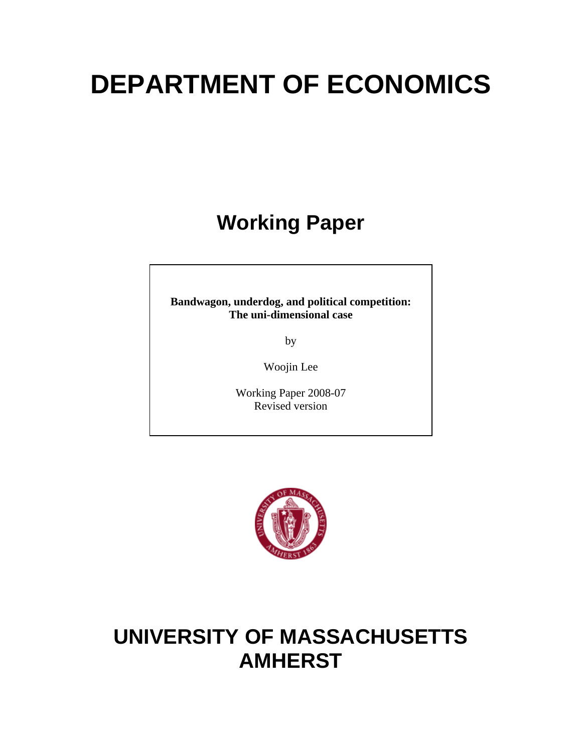# **DEPARTMENT OF ECONOMICS**

# **Working Paper**

**Bandwagon, underdog, and political competition: The uni-dimensional case** 

by

Woojin Lee

Working Paper 2008-07 Revised version



## **UNIVERSITY OF MASSACHUSETTS AMHERST**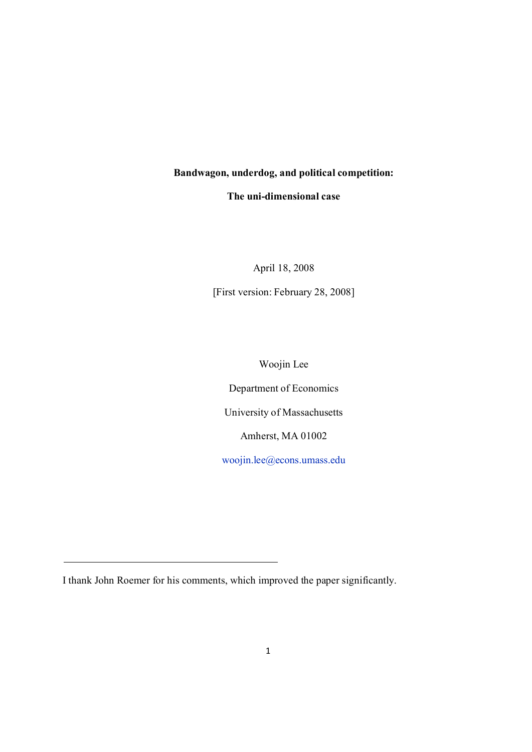#### **Bandwagon, underdog, and political competition:**

#### **The uni-dimensional case**

April 18, 2008

[First version: February 28, 2008]

Woojin Lee

Department of Economics

University of Massachusetts

Amherst, MA 01002

woojin.lee@econs.umass.edu

I thank John Roemer for his comments, which improved the paper significantly.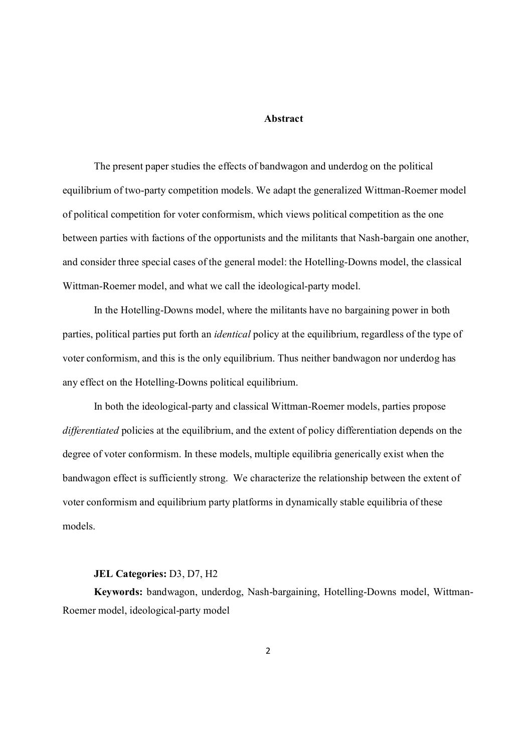#### **Abstract**

The present paper studies the effects of bandwagon and underdog on the political equilibrium of two-party competition models. We adapt the generalized Wittman-Roemer model of political competition for voter conformism, which views political competition as the one between parties with factions of the opportunists and the militants that Nash-bargain one another, and consider three special cases of the general model: the Hotelling-Downs model, the classical Wittman-Roemer model, and what we call the ideological-party model.

In the Hotelling-Downs model, where the militants have no bargaining power in both parties, political parties put forth an *identical* policy at the equilibrium, regardless of the type of voter conformism, and this is the only equilibrium. Thus neither bandwagon nor underdog has any effect on the Hotelling-Downs political equilibrium.

In both the ideological-party and classical Wittman-Roemer models, parties propose *differentiated* policies at the equilibrium, and the extent of policy differentiation depends on the degree of voter conformism. In these models, multiple equilibria generically exist when the bandwagon effect is sufficiently strong. We characterize the relationship between the extent of voter conformism and equilibrium party platforms in dynamically stable equilibria of these models.

#### **JEL Categories:** D3, D7, H2

**Keywords:** bandwagon, underdog, Nash-bargaining, Hotelling-Downs model, Wittman-Roemer model, ideological-party model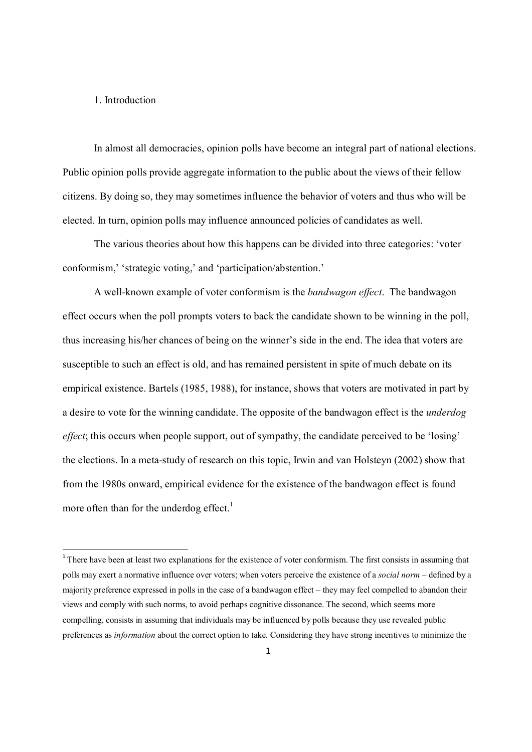#### 1. Introduction

In almost all democracies, opinion polls have become an integral part of national elections. Public opinion polls provide aggregate information to the public about the views of their fellow citizens. By doing so, they may sometimes influence the behavior of voters and thus who will be elected. In turn, opinion polls may influence announced policies of candidates as well.

The various theories about how this happens can be divided into three categories: 'voter conformism,' 'strategic voting,' and 'participation/abstention.'

A well-known example of voter conformism is the *bandwagon effect*. The bandwagon effect occurs when the poll prompts voters to back the candidate shown to be winning in the poll, thus increasing his/her chances of being on the winner's side in the end. The idea that voters are susceptible to such an effect is old, and has remained persistent in spite of much debate on its empirical existence. Bartels (1985, 1988), for instance, shows that voters are motivated in part by a desire to vote for the winning candidate. The opposite of the bandwagon effect is the *underdog effect*; this occurs when people support, out of sympathy, the candidate perceived to be 'losing' the elections. In a meta-study of research on this topic, Irwin and van Holsteyn (2002) show that from the 1980s onward, empirical evidence for the existence of the bandwagon effect is found more often than for the underdog effect.<sup>1</sup>

<sup>&</sup>lt;sup>1</sup> There have been at least two explanations for the existence of voter conformism. The first consists in assuming that polls may exert a normative influence over voters; when voters perceive the existence of a *social norm* – defined by a majority preference expressed in polls in the case of a bandwagon effect – they may feel compelled to abandon their views and comply with such norms, to avoid perhaps cognitive dissonance. The second, which seems more compelling, consists in assuming that individuals may be influenced by polls because they use revealed public preferences as *information* about the correct option to take. Considering they have strong incentives to minimize the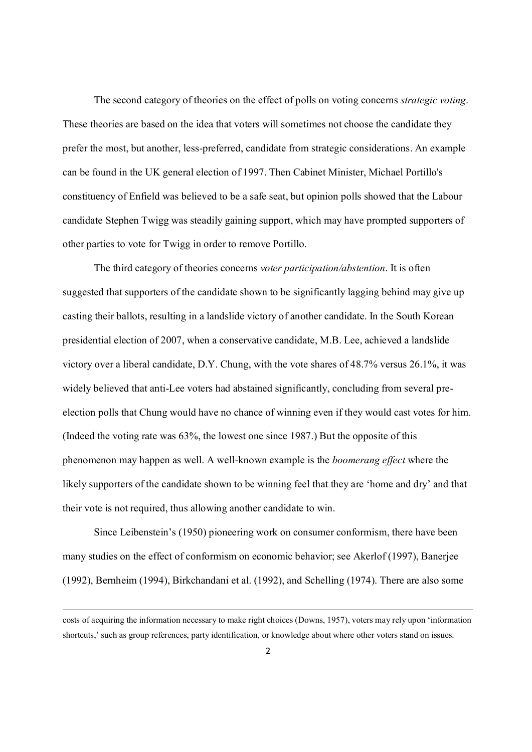The second category of theories on the effect of polls on voting concerns *strategic voting*. These theories are based on the idea that voters will sometimes not choose the candidate they prefer the most, but another, less-preferred, candidate from strategic considerations. An example can be found in the UK general election of 1997. Then Cabinet Minister, Michael Portillo's constituency of Enfield was believed to be a safe seat, but opinion polls showed that the Labour candidate Stephen Twigg was steadily gaining support, which may have prompted supporters of other parties to vote for Twigg in order to remove Portillo.

The third category of theories concerns *voter participation/abstention*. It is often suggested that supporters of the candidate shown to be significantly lagging behind may give up casting their ballots, resulting in a landslide victory of another candidate. In the South Korean presidential election of 2007, when a conservative candidate, M.B. Lee, achieved a landslide victory over a liberal candidate, D.Y. Chung, with the vote shares of 48.7% versus 26.1%, it was widely believed that anti-Lee voters had abstained significantly, concluding from several preelection polls that Chung would have no chance of winning even if they would cast votes for him. (Indeed the voting rate was 63%, the lowest one since 1987.) But the opposite of this phenomenon may happen as well. A well-known example is the *boomerang effect* where the likely supporters of the candidate shown to be winning feel that they are 'home and dry' and that their vote is not required, thus allowing another candidate to win.

Since Leibenstein's (1950) pioneering work on consumer conformism, there have been many studies on the effect of conformism on economic behavior; see Akerlof (1997), Banerjee (1992), Bernheim (1994), Birkchandani et al. (1992), and Schelling (1974). There are also some

costs of acquiring the information necessary to make right choices (Downs, 1957), voters may rely upon 'information shortcuts,' such as group references, party identification, or knowledge about where other voters stand on issues.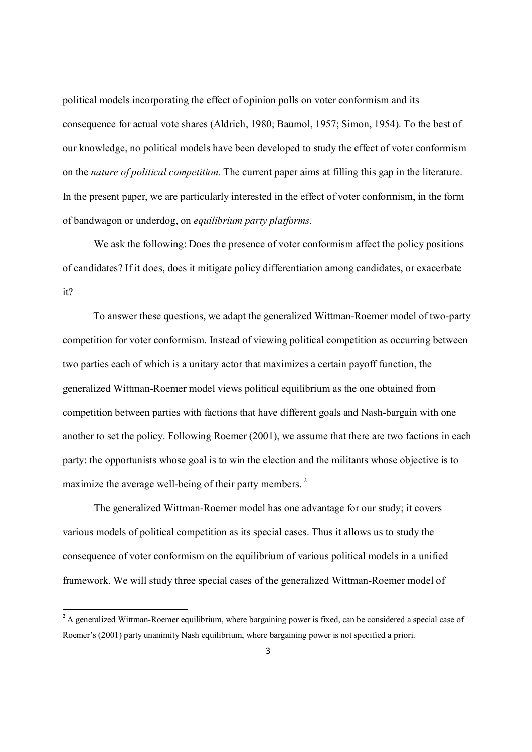political models incorporating the effect of opinion polls on voter conformism and its consequence for actual vote shares (Aldrich, 1980; Baumol, 1957; Simon, 1954). To the best of our knowledge, no political models have been developed to study the effect of voter conformism on the *nature of political competition*. The current paper aims at filling this gap in the literature. In the present paper, we are particularly interested in the effect of voter conformism, in the form of bandwagon or underdog, on *equilibrium party platforms*.

We ask the following: Does the presence of voter conformism affect the policy positions of candidates? If it does, does it mitigate policy differentiation among candidates, or exacerbate it?

To answer these questions, we adapt the generalized Wittman-Roemer model of two-party competition for voter conformism. Instead of viewing political competition as occurring between two parties each of which is a unitary actor that maximizes a certain payoff function, the generalized Wittman-Roemer model views political equilibrium as the one obtained from competition between parties with factions that have different goals and Nash-bargain with one another to set the policy. Following Roemer (2001), we assume that there are two factions in each party: the opportunists whose goal is to win the election and the militants whose objective is to maximize the average well-being of their party members.<sup>2</sup>

The generalized Wittman-Roemer model has one advantage for our study; it covers various models of political competition as its special cases. Thus it allows us to study the consequence of voter conformism on the equilibrium of various political models in a unified framework. We will study three special cases of the generalized Wittman-Roemer model of

<sup>&</sup>lt;sup>2</sup> A generalized Wittman-Roemer equilibrium, where bargaining power is fixed, can be considered a special case of Roemer's (2001) party unanimity Nash equilibrium, where bargaining power is not specified a priori.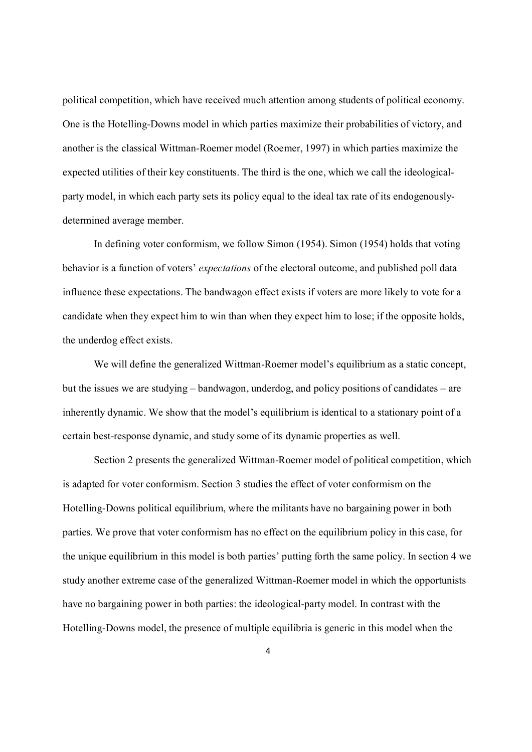political competition, which have received much attention among students of political economy. One is the Hotelling-Downs model in which parties maximize their probabilities of victory, and another is the classical Wittman-Roemer model (Roemer, 1997) in which parties maximize the expected utilities of their key constituents. The third is the one, which we call the ideologicalparty model, in which each party sets its policy equal to the ideal tax rate of its endogenouslydetermined average member.

In defining voter conformism, we follow Simon (1954). Simon (1954) holds that voting behavior is a function of voters' *expectations* of the electoral outcome, and published poll data influence these expectations. The bandwagon effect exists if voters are more likely to vote for a candidate when they expect him to win than when they expect him to lose; if the opposite holds, the underdog effect exists.

We will define the generalized Wittman-Roemer model's equilibrium as a static concept, but the issues we are studying – bandwagon, underdog, and policy positions of candidates – are inherently dynamic. We show that the model's equilibrium is identical to a stationary point of a certain best-response dynamic, and study some of its dynamic properties as well.

Section 2 presents the generalized Wittman-Roemer model of political competition, which is adapted for voter conformism. Section 3 studies the effect of voter conformism on the Hotelling-Downs political equilibrium, where the militants have no bargaining power in both parties. We prove that voter conformism has no effect on the equilibrium policy in this case, for the unique equilibrium in this model is both parties' putting forth the same policy. In section 4 we study another extreme case of the generalized Wittman-Roemer model in which the opportunists have no bargaining power in both parties: the ideological-party model. In contrast with the Hotelling-Downs model, the presence of multiple equilibria is generic in this model when the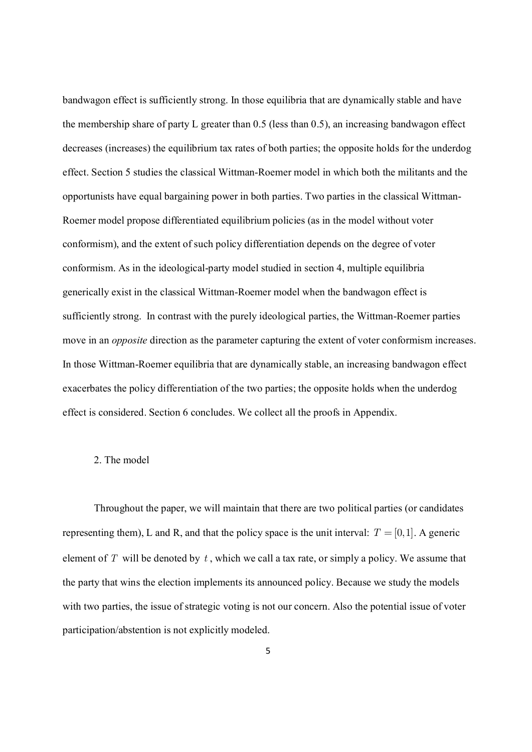bandwagon effect is sufficiently strong. In those equilibria that are dynamically stable and have the membership share of party L greater than 0.5 (less than 0.5), an increasing bandwagon effect decreases (increases) the equilibrium tax rates of both parties; the opposite holds for the underdog effect. Section 5 studies the classical Wittman-Roemer model in which both the militants and the opportunists have equal bargaining power in both parties. Two parties in the classical Wittman-Roemer model propose differentiated equilibrium policies (as in the model without voter conformism), and the extent of such policy differentiation depends on the degree of voter conformism. As in the ideological-party model studied in section 4, multiple equilibria generically exist in the classical Wittman-Roemer model when the bandwagon effect is sufficiently strong. In contrast with the purely ideological parties, the Wittman-Roemer parties move in an *opposite* direction as the parameter capturing the extent of voter conformism increases. In those Wittman-Roemer equilibria that are dynamically stable, an increasing bandwagon effect exacerbates the policy differentiation of the two parties; the opposite holds when the underdog effect is considered. Section 6 concludes. We collect all the proofs in Appendix.

#### 2. The model

Throughout the paper, we will maintain that there are two political parties (or candidates representing them), L and R, and that the policy space is the unit interval:  $T = [0,1]$ . A generic element of *T* will be denoted by *t* , which we call a tax rate, or simply a policy. We assume that the party that wins the election implements its announced policy. Because we study the models with two parties, the issue of strategic voting is not our concern. Also the potential issue of voter participation/abstention is not explicitly modeled.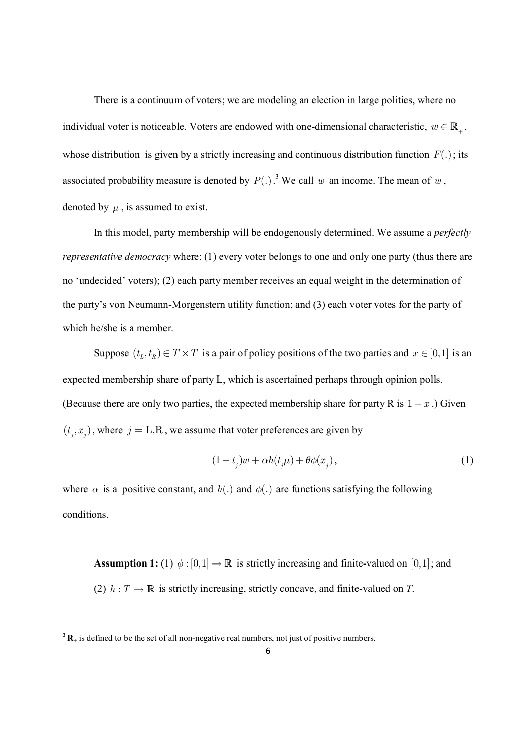There is a continuum of voters; we are modeling an election in large polities, where no individual voter is noticeable. Voters are endowed with one-dimensional characteristic,  $w \in \mathbb{R}_+$ , whose distribution is given by a strictly increasing and continuous distribution function  $F(.)$ ; its associated probability measure is denoted by  $P(.)$ .<sup>3</sup> We call w an income. The mean of w, denoted by  $\mu$ , is assumed to exist.

In this model, party membership will be endogenously determined. We assume a *perfectly representative democracy* where: (1) every voter belongs to one and only one party (thus there are no 'undecided' voters); (2) each party member receives an equal weight in the determination of the party's von Neumann-Morgenstern utility function; and (3) each voter votes for the party of which he/she is a member.

Suppose  $(t_L, t_R) \in T \times T$  is a pair of policy positions of the two parties and  $x \in [0,1]$  is an expected membership share of party L, which is ascertained perhaps through opinion polls. (Because there are only two parties, the expected membership share for party R is  $1 - x$ .) Given  $(t_j, x_j)$ , where  $j =$  L,R, we assume that voter preferences are given by

$$
(1 - t_j)w + \alpha h(t_j \mu) + \theta \phi(x_j), \qquad (1)
$$

where  $\alpha$  is a positive constant, and  $h(.)$  and  $\phi(.)$  are functions satisfying the following conditions.

**Assumption 1:** (1)  $\phi$  : [0,1]  $\rightarrow \mathbb{R}$  is strictly increasing and finite-valued on [0,1]; and (2)  $h: T \to \mathbb{R}$  is strictly increasing, strictly concave, and finite-valued on *T*.

 $3\text{ R}_{+}$  is defined to be the set of all non-negative real numbers, not just of positive numbers.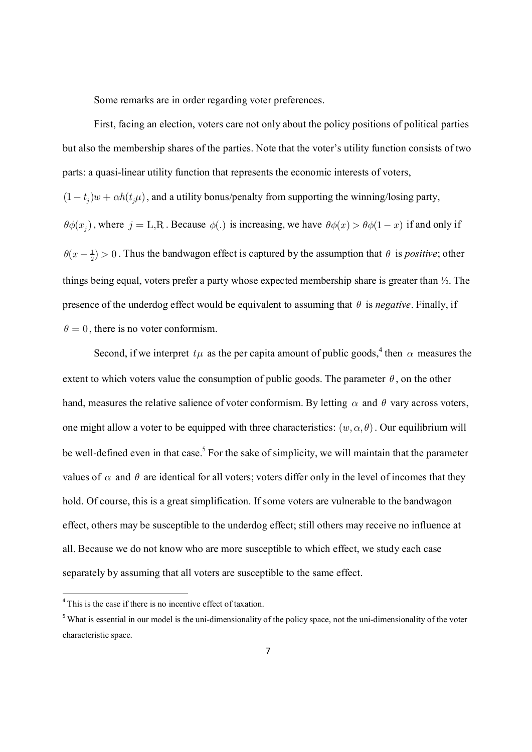Some remarks are in order regarding voter preferences.

First, facing an election, voters care not only about the policy positions of political parties but also the membership shares of the parties. Note that the voter's utility function consists of two parts: a quasi-linear utility function that represents the economic interests of voters,  $(1 - t_i) w + \alpha h(t_i \mu)$ , and a utility bonus/penalty from supporting the winning/losing party,  $\theta\phi(x_j)$ , where  $j = L, R$ . Because  $\phi(.)$  is increasing, we have  $\theta\phi(x) > \theta\phi(1-x)$  if and only if  $\theta(x - \frac{1}{2}) > 0$ . Thus the bandwagon effect is captured by the assumption that  $\theta$  is *positive*; other things being equal, voters prefer a party whose expected membership share is greater than ½. The presence of the underdog effect would be equivalent to assuming that  $\theta$  is *negative*. Finally, if  $\theta = 0$ , there is no voter conformism.

Second, if we interpret  $t\mu$  as the per capita amount of public goods,<sup>4</sup> then  $\alpha$  measures the extent to which voters value the consumption of public goods. The parameter  $\theta$ , on the other hand, measures the relative salience of voter conformism. By letting  $\alpha$  and  $\theta$  vary across voters, one might allow a voter to be equipped with three characteristics:  $(w, \alpha, \theta)$ . Our equilibrium will be well-defined even in that case.<sup>5</sup> For the sake of simplicity, we will maintain that the parameter values of  $\alpha$  and  $\theta$  are identical for all voters; voters differ only in the level of incomes that they hold. Of course, this is a great simplification. If some voters are vulnerable to the bandwagon effect, others may be susceptible to the underdog effect; still others may receive no influence at all. Because we do not know who are more susceptible to which effect, we study each case separately by assuming that all voters are susceptible to the same effect.

<sup>&</sup>lt;sup>4</sup> This is the case if there is no incentive effect of taxation.

<sup>&</sup>lt;sup>5</sup> What is essential in our model is the uni-dimensionality of the policy space, not the uni-dimensionality of the voter characteristic space.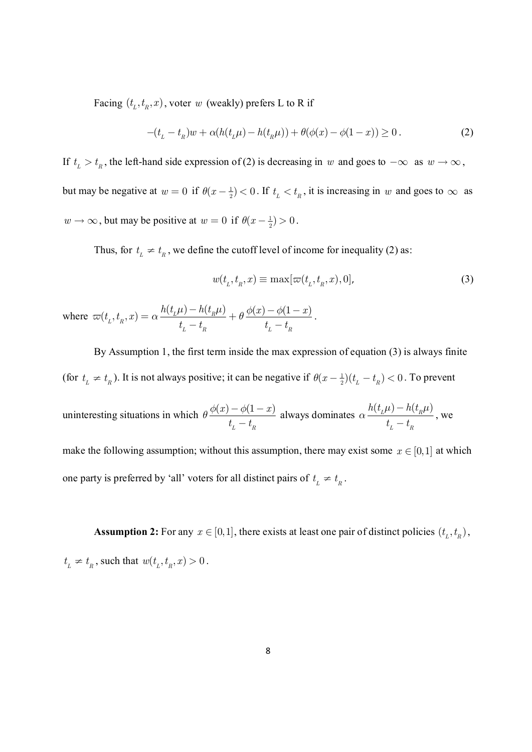Facing  $(t_L, t_R, x)$ , voter *w* (weakly) prefers L to R if

$$
-(t_{L} - t_{R})w + \alpha(h(t_{L}\mu) - h(t_{R}\mu)) + \theta(\phi(x) - \phi(1-x)) \ge 0.
$$
 (2)

If  $t_L > t_R$ , the left-hand side expression of (2) is decreasing in *w* and goes to  $-\infty$  as  $w \to \infty$ , but may be negative at  $w = 0$  if  $\theta(x - \frac{1}{2}) < 0$ . If  $t_L < t_R$ , it is increasing in w and goes to  $\infty$  as  $w \to \infty$ , but may be positive at  $w = 0$  if  $\theta(x - \frac{1}{2}) > 0$ .

Thus, for  $t_{\text{L}} \neq t_{\text{R}}$ , we define the cutoff level of income for inequality (2) as:

$$
w(t_L, t_R, x) \equiv \max[\varpi(t_L, t_R, x), 0],\tag{3}
$$

where 
$$
\varpi(t_L, t_R, x) = \alpha \frac{h(t_L \mu) - h(t_R \mu)}{t_L - t_R} + \theta \frac{\phi(x) - \phi(1 - x)}{t_L - t_R}
$$
.

By Assumption 1, the first term inside the max expression of equation (3) is always finite (for  $t_L \neq t_R$ ). It is not always positive; it can be negative if  $\theta(x - \frac{1}{2})(t_L - t_R) < 0$ . To prevent uninteresting situations in which  $\theta \frac{\phi(x) - \phi(1-x)}{\phi(x)}$ *L R*  $(x) - \phi(1 - x)$  $t_{\mu} - t$  $\theta \frac{\phi(x) - \phi(1 - \phi)}{1 - \phi(x)}$  always dominates  $\alpha \frac{h(t_L \mu) - h(t_R \mu)}{h(L_L \mu)}$ *L R*  $h(t_{L}\mu) - h(t)$  $t_{\scriptscriptstyle L} - t$  $\mu$ ) —  $h(t_{_B}\mu)$ *a* - - , we make the following assumption; without this assumption, there may exist some  $x \in [0,1]$  at which one party is preferred by 'all' voters for all distinct pairs of  $t_L \neq t_R$ .

**Assumption 2:** For any  $x \in [0,1]$ , there exists at least one pair of distinct policies  $(t_L, t_R)$ ,  $t_L \neq t_R$ , such that  $w(t_L, t_R, x) > 0$ .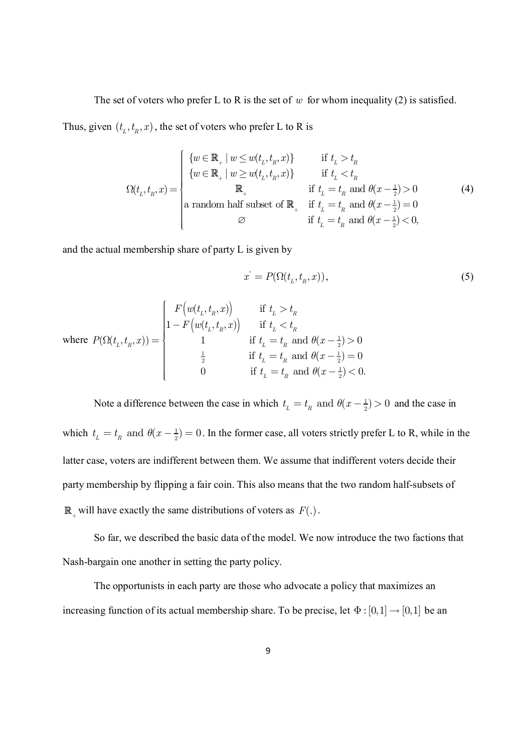The set of voters who prefer L to R is the set of *w* for whom inequality (2) is satisfied.

Thus, given  $(t_L, t_R, x)$ , the set of voters who prefer L to R is

$$
\Omega(t_L, t_R, x) = \begin{cases} \n\{w \in \mathbb{R}_+ \mid w \le w(t_L, t_R, x)\} & \text{if } t_L > t_R \\
\{w \in \mathbb{R}_+ \mid w \ge w(t_L, t_R, x)\} & \text{if } t_L < t_R \\
\mathbb{R}_+ & \text{if } t_L = t_R \text{ and } \theta(x - \frac{1}{2}) > 0 \\
\text{a random half subset of } \mathbb{R}_+ & \text{if } t_L = t_R \text{ and } \theta(x - \frac{1}{2}) = 0 \\
\varnothing & \text{if } t_L = t_R \text{ and } \theta(x - \frac{1}{2}) < 0,\n\end{cases} \tag{4}
$$

and the actual membership share of party L is given by

$$
x' = P(\Omega(t_L, t_R, x)),\tag{5}
$$

$$
\text{where } P(\Omega(t_L, t_R, x)) = \begin{cases} F\left(w(t_L, t_R, x)\right) & \text{if } t_L > t_R \\ 1 - F\left(w(t_L, t_R, x)\right) & \text{if } t_L < t_R \\ 1 & \text{if } t_L = t_R \text{ and } \theta(x - \frac{1}{2}) > 0 \\ \frac{1}{2} & \text{if } t_L = t_R \text{ and } \theta(x - \frac{1}{2}) = 0 \\ 0 & \text{if } t_L = t_R \text{ and } \theta(x - \frac{1}{2}) < 0. \end{cases}
$$

Note a difference between the case in which  $t<sub>r</sub> = t<sub>p</sub>$  and  $\theta(x - \frac{1}{2})$  $t_{\scriptscriptstyle L} = t_{\scriptscriptstyle R}$  and  $\theta(x - \frac{1}{2}) > 0$  and the case in which  $t_i = t_p$  and  $\theta(x - \frac{1}{2})$  $t_L = t_R$  and  $\theta(x - \frac{1}{2}) = 0$ . In the former case, all voters strictly prefer L to R, while in the latter case, voters are indifferent between them. We assume that indifferent voters decide their party membership by flipping a fair coin. This also means that the two random half-subsets of  $\mathbb{R}_+$  will have exactly the same distributions of voters as  $F(.)$ .

So far, we described the basic data of the model. We now introduce the two factions that Nash-bargain one another in setting the party policy.

The opportunists in each party are those who advocate a policy that maximizes an increasing function of its actual membership share. To be precise, let  $\Phi : [0,1] \rightarrow [0,1]$  be an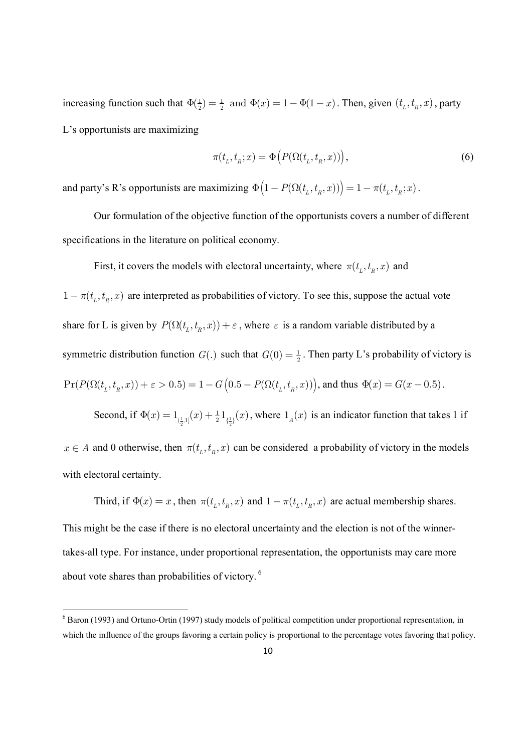increasing function such that  $\Phi(\frac{1}{2}) = \frac{1}{2}$  and  $\Phi(x) = 1 - \Phi(1 - x)$ . Then, given  $(t_L, t_R, x)$ , party L's opportunists are maximizing

$$
\pi(t_L, t_R; x) = \Phi\big(P(\Omega(t_L, t_R, x))\big),\tag{6}
$$

and party's R's opportunists are maximizing  $\Phi(1 - P(\Omega(t_L, t_R, x))) = 1 - \pi(t_L, t_R; x)$ .

Our formulation of the objective function of the opportunists covers a number of different specifications in the literature on political economy.

First, it covers the models with electoral uncertainty, where  $\pi(t_L, t_R, x)$  and

 $1 - \pi(t_L, t_R, x)$  are interpreted as probabilities of victory. To see this, suppose the actual vote share for L is given by  $P(\Omega(t_L, t_R, x)) + \varepsilon$ , where  $\varepsilon$  is a random variable distributed by a symmetric distribution function  $G(.)$  such that  $G(0) = \frac{1}{2}$ . Then party L's probability of victory is  $Pr(P(\Omega(t_L, t_R, x)) + \varepsilon > 0.5) = 1 - G(0.5 - P(\Omega(t_L, t_R, x)))$ , and thus  $\Phi(x) = G(x - 0.5)$ .

 $x \in A$  and 0 otherwise, then  $\pi(t_L, t_R, x)$  can be considered a probability of victory in the models with electoral certainty.

 $\Phi(x) = 1_{(\frac{1}{2},1]}(x) + \frac{1}{2}1_{(\frac{1}{2})}(x)$ , where  $1_A(x)$  is an indicator function that takes 1 if

Second, if  $\Phi(x) = 1_{(\frac{1}{2},1]}(x) + \frac{1}{2}1_{\{\frac{1}{2}\}}$ 

Third, if  $\Phi(x) = x$ , then  $\pi(t_L, t_R, x)$  and  $1 - \pi(t_L, t_R, x)$  are actual membership shares.

This might be the case if there is no electoral uncertainty and the election is not of the winnertakes-all type. For instance, under proportional representation, the opportunists may care more about vote shares than probabilities of victory.<sup>6</sup>

<sup>&</sup>lt;sup>6</sup> Baron (1993) and Ortuno-Ortin (1997) study models of political competition under proportional representation, in which the influence of the groups favoring a certain policy is proportional to the percentage votes favoring that policy.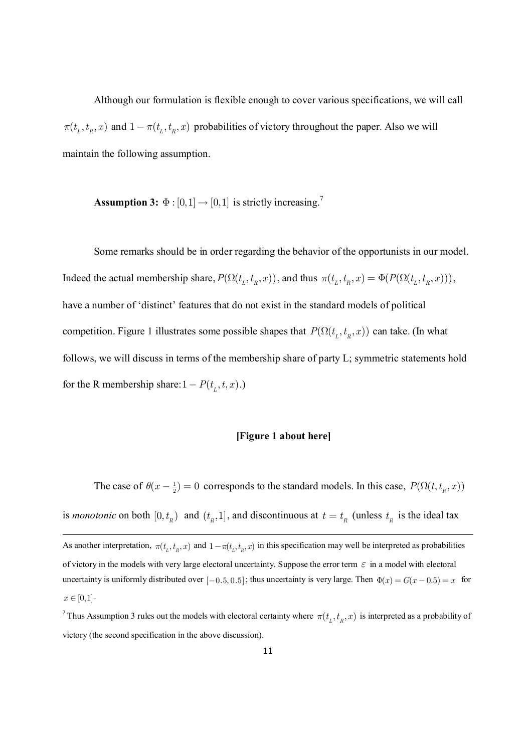Although our formulation is flexible enough to cover various specifications, we will call  $\pi(t_L, t_R, x)$  and  $1 - \pi(t_L, t_R, x)$  probabilities of victory throughout the paper. Also we will maintain the following assumption.

**Assumption 3:**  $\Phi$  :  $[0,1] \rightarrow [0,1]$  is strictly increasing.<sup>7</sup>

Some remarks should be in order regarding the behavior of the opportunists in our model. Indeed the actual membership share,  $P(\Omega(t_L, t_R, x))$ , and thus  $\pi(t_L, t_R, x) = \Phi(P(\Omega(t_L, t_R, x)))$ , have a number of 'distinct' features that do not exist in the standard models of political competition. Figure 1 illustrates some possible shapes that  $P(\Omega(t_L, t_R, x))$  can take. (In what follows, we will discuss in terms of the membership share of party L; symmetric statements hold for the R membership share:  $1 - P(t_L, t, x)$ .)

#### **[Figure 1 about here]**

The case of  $\theta(x - \frac{1}{2}) = 0$  corresponds to the standard models. In this case,  $P(\Omega(t, t_R, x))$ is *monotonic* on both  $[0, t_R)$  and  $(t_R, 1]$ , and discontinuous at  $t = t_R$  (unless  $t_R$  is the ideal tax As another interpretation,  $\pi(t_L, t_R, x)$  and  $1 - \pi(t_L, t_R, x)$  in this specification may well be interpreted as probabilities of victory in the models with very large electoral uncertainty. Suppose the error term  $\varepsilon$  in a model with electoral uncertainty is uniformly distributed over  $[-0.5, 0.5]$ ; thus uncertainty is very large. Then  $\Phi(x) = G(x - 0.5) = x$  for  $x \in [0,1].$ 

<sup>7</sup> Thus Assumption 3 rules out the models with electoral certainty where  $\pi(t_L, t_R, x)$  is interpreted as a probability of victory (the second specification in the above discussion).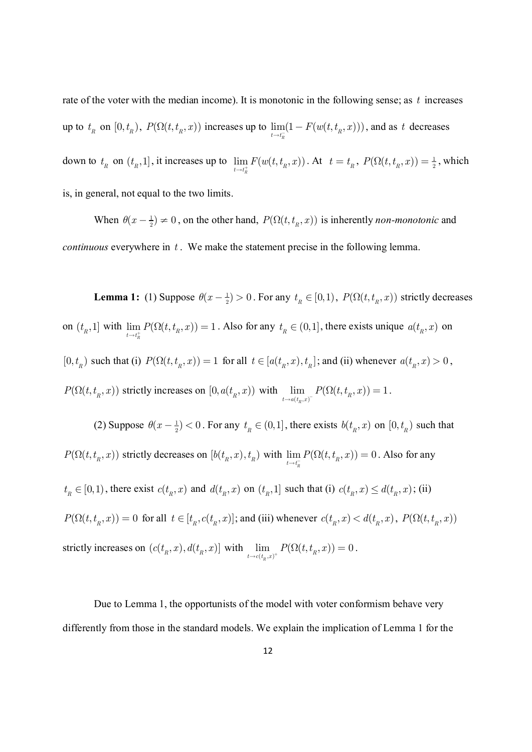rate of the voter with the median income). It is monotonic in the following sense; as *t* increases up to  $t_R$  on  $[0, t_R)$ ,  $P(\Omega(t, t_R, x))$  increases up to  $\lim_{t \to t^-} (1 - F(w(t, t_R, x)))$  $\lim_{t \to t_{\overline{n}}} (1 - F(w(t, t_{\overline{n}}, x)))$ , and as *t* decreases down to  $t_{R}$  on  $(t_{R}$ , 1], it increases up to  $\lim_{t \to t^{+}} F(w(t,t_{R},x))$  $\lim_{t \to t_h^+} F(w(t, t_R, x))$ . At  $t = t_R$ ,  $P(\Omega(t, t_R, x)) = \frac{1}{2}$ , which is, in general, not equal to the two limits.

When  $\theta(x - \frac{1}{2}) \neq 0$ , on the other hand,  $P(\Omega(t, t_n, x))$  is inherently *non-monotonic* and *continuous* everywhere in *t* . We make the statement precise in the following lemma.

**Lemma 1:** (1) Suppose  $\theta(x - \frac{1}{2}) > 0$ . For any  $t_R \in [0,1)$ ,  $P(\Omega(t, t_R, x))$  strictly decreases on  $(t_R, 1]$  with  $\lim_{t \to t^+} P(\Omega(t, t_R, x)) = 1$  $\lim_{t \to t_h^+} P(\Omega(t, t_h, x)) = 1$ . Also for any  $t_R \in (0, 1]$ , there exists unique  $a(t_R, x)$  on  $[0, t_R)$  such that (i)  $P(\Omega(t, t_R, x)) = 1$  for all  $t \in [a(t_R, x), t_R]$ ; and (ii) whenever  $a(t_R, x) > 0$ ,  $P(\Omega(t, t_{R}, x))$  strictly increases on  $[0, a(t_{R}, x))$  with  $\lim_{t \to a(t_{R}, x)} P(\Omega(t, t_{R}, x)) = 1$  $\lim_{t \to a(t_R, x)^{-}} P(\Omega(t, t_R, x)) = 1.$ 

(2) Suppose  $\theta(x - \frac{1}{2}) < 0$ . For any  $t_R \in (0,1]$ , there exists  $b(t_R, x)$  on  $[0, t_R)$  such that  $P(\Omega(t, t_{R}, x))$  strictly decreases on  $[b(t_{R}, x), t_{R})$  with  $\lim_{t \to t_{R}} P(\Omega(t, t_{R}, x)) = 0$  $\lim_{t \to t_{\overline{n}}} P(\Omega(t, t_{\overline{n}}, x)) = 0$ . Also for any  $t_R \in [0,1)$ , there exist  $c(t_R, x)$  and  $d(t_R, x)$  on  $(t_R, 1]$  such that (i)  $c(t_R, x) \leq d(t_R, x)$ ; (ii)  $P(\Omega(t,t_R,x)) = 0$  for all  $t \in [t_R, c(t_R,x)]$ ; and (iii) whenever  $c(t_R,x) < d(t_R,x)$ ,  $P(\Omega(t,t_R,x))$ strictly increases on  $(c(t_R, x), d(t_R, x))$  with  $\lim_{t \to c(t_R, x)^+} P(\Omega(t, t_R, x)) = 0$ . *R*

Due to Lemma 1, the opportunists of the model with voter conformism behave very differently from those in the standard models. We explain the implication of Lemma 1 for the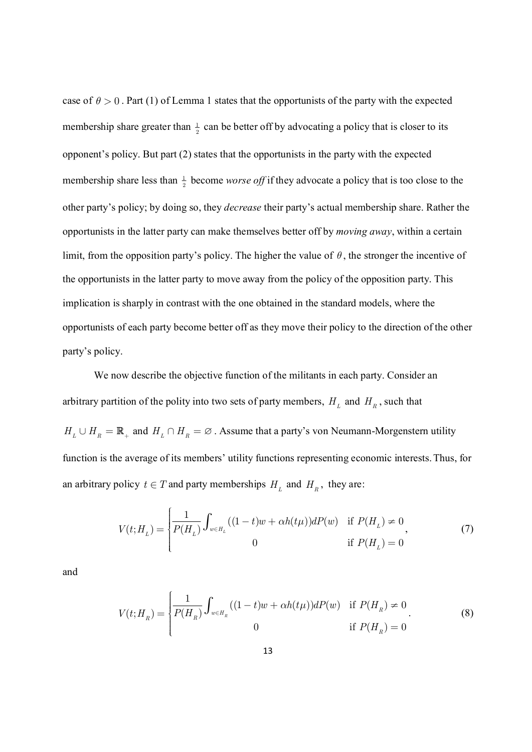case of  $\theta > 0$ . Part (1) of Lemma 1 states that the opportunists of the party with the expected membership share greater than  $\frac{1}{2}$  can be better off by advocating a policy that is closer to its opponent's policy. But part (2) states that the opportunists in the party with the expected membership share less than  $\frac{1}{2}$  become *worse off* if they advocate a policy that is too close to the other party's policy; by doing so, they *decrease* their party's actual membership share. Rather the opportunists in the latter party can make themselves better off by *moving away*, within a certain limit, from the opposition party's policy. The higher the value of  $\theta$ , the stronger the incentive of the opportunists in the latter party to move away from the policy of the opposition party. This implication is sharply in contrast with the one obtained in the standard models, where the opportunists of each party become better off as they move their policy to the direction of the other party's policy.

We now describe the objective function of the militants in each party. Consider an arbitrary partition of the polity into two sets of party members,  $H_L$  and  $H_R$ , such that  $H_L \cup H_R = \mathbb{R}_+$  and  $H_L \cap H_R = \emptyset$ . Assume that a party's von Neumann-Morgenstern utility function is the average of its members' utility functions representing economic interests.Thus, for an arbitrary policy  $t \in T$  and party memberships  $H_L$  and  $H_R$ , they are:

$$
V(t;H_L) = \begin{cases} \frac{1}{P(H_L)} \int_{w \in H_L} ((1-t)w + \alpha h(t\mu)) dP(w) & \text{if } P(H_L) \neq 0\\ 0 & \text{if } P(H_L) = 0 \end{cases}
$$
(7)

and

$$
V(t;H_R) = \begin{cases} \frac{1}{P(H_R)} \int_{w \in H_R} ((1-t)w + \alpha h(t\mu)) dP(w) & \text{if } P(H_R) \neq 0\\ 0 & \text{if } P(H_R) = 0 \end{cases}
$$
(8)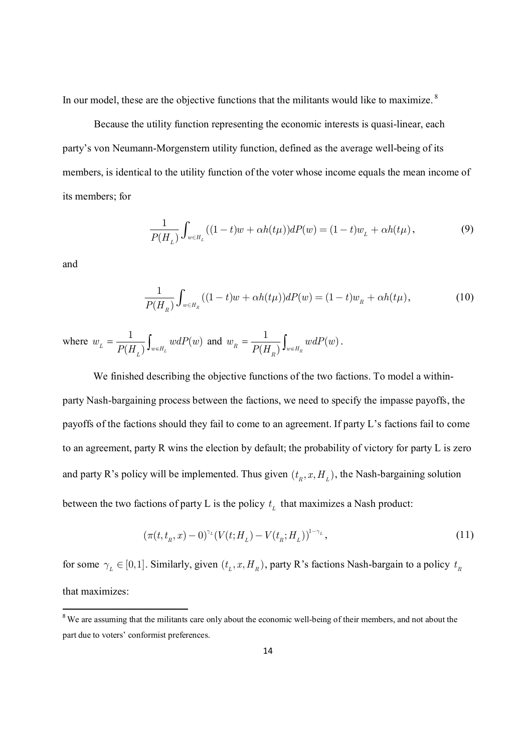In our model, these are the objective functions that the militants would like to maximize.  $8$ 

Because the utility function representing the economic interests is quasi-linear, each party's von Neumann-Morgenstern utility function, defined as the average well-being of its members, is identical to the utility function of the voter whose income equals the mean income of its members; for

$$
\frac{1}{P(H_L)} \int_{w \in H_L} ((1-t)w + \alpha h(t\mu))dP(w) = (1-t)w_L + \alpha h(t\mu), \tag{9}
$$

and

$$
\frac{1}{P(H_R)} \int_{w \in H_R} ((1-t)w + \alpha h(t\mu))dP(w) = (1-t)w_R + \alpha h(t\mu), \tag{10}
$$

where  $w_L = \frac{1}{P(L)} \int_{-L}^L w dP(w)$  $P(H_{\overline{L}})$   $\mathsf{J}_{w\in H_{L}}$  $w_{L} = \frac{1}{P(L)} \int w dP(w)$  $=\frac{1}{P(H_L)}\int_{w\in H_L}wdP(w)$  and  $w_R = \frac{1}{P(H_R)}\int_{w\in H_R}wdP(w)$  $P(H_{\overline{R}})$   $\mathsf{J}_{w\in H_{\overline{R}}}$  $w_R = \frac{1}{R(L)} \int w dP(u)$  $=\frac{1}{P(H_{_R})}\int_{w\in H_{_R}}wdP(w)$ .

We finished describing the objective functions of the two factions. To model a withinparty Nash-bargaining process between the factions, we need to specify the impasse payoffs, the payoffs of the factions should they fail to come to an agreement. If party L's factions fail to come to an agreement, party R wins the election by default; the probability of victory for party L is zero and party R's policy will be implemented. Thus given  $(t_R, x, H_L)$ , the Nash-bargaining solution between the two factions of party L is the policy  $t<sub>L</sub>$  that maximizes a Nash product:

$$
(\pi(t, t_n, x) - 0)^{\gamma_L} (V(t; H_L) - V(t_n; H_L))^{1 - \gamma_L},
$$
\n(11)

for some  $\gamma_L \in [0,1]$ . Similarly, given  $(t_L, x, H_R)$ , party R's factions Nash-bargain to a policy  $t_R$ that maximizes:

<sup>&</sup>lt;sup>8</sup> We are assuming that the militants care only about the economic well-being of their members, and not about the part due to voters' conformist preferences.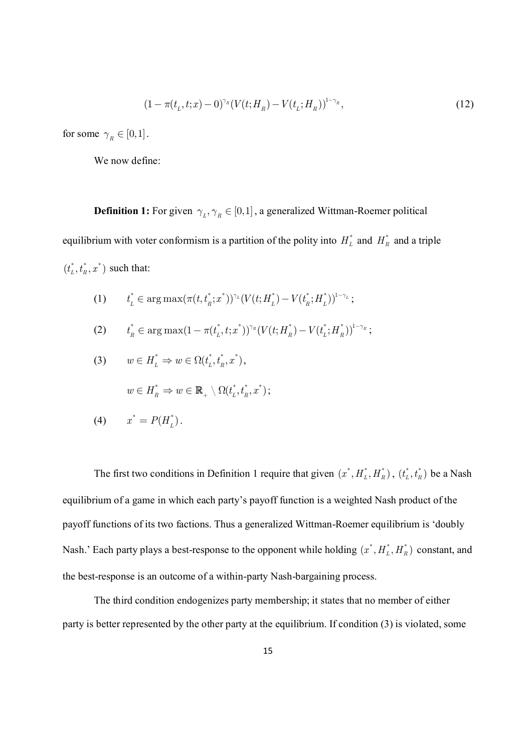$$
(1 - \pi(t_L, t; x) - 0)^{\gamma_R} (V(t; H_R) - V(t_L; H_R))^{1 - \gamma_R},
$$
\n(12)

for some  $\gamma_R \in [0,1]$ .

We now define:

**Definition 1:** For given  $\gamma_L, \gamma_R \in [0,1]$ , a generalized Wittman-Roemer political equilibrium with voter conformism is a partition of the polity into  $H_L^*$  and  $H_R^*$  and a triple  $(t_L^*, t_R^*, x^*)$  such that:

- (1)  $t_L^* \in \arg \max(\pi(t,t_R^*;x^*))^{\gamma_L}(V(t;H_L^*)-V(t_R^*;H_L^*))^{1-\gamma_L};$
- (2)  $t_R^* \in \arg \max (1 \pi(t_L^*, t; x^*))^{\gamma_R} (V(t; H_R^*) V(t_L^*; H_R^*))^{1 \gamma_R};$

(3) 
$$
w \in H_L^* \Rightarrow w \in \Omega(t_L^*, t_R^*, x^*),
$$

$$
w \in H_R^* \Rightarrow w \in \mathbb{R}_+ \setminus \Omega(t_L^*, t_R^*, x^*);
$$

$$
(4) \qquad x^* = P(H_L^*).
$$

The first two conditions in Definition 1 require that given  $(x^*, H_L^*, H_R^*)$ ,  $(t_L^*, t_R^*)$  be a Nash equilibrium of a game in which each party's payoff function is a weighted Nash product of the payoff functions of its two factions. Thus a generalized Wittman-Roemer equilibrium is 'doubly Nash.' Each party plays a best-response to the opponent while holding  $(x^*, H_L^*, H_R^*)$  constant, and the best-response is an outcome of a within-party Nash-bargaining process.

The third condition endogenizes party membership; it states that no member of either party is better represented by the other party at the equilibrium. If condition (3) is violated, some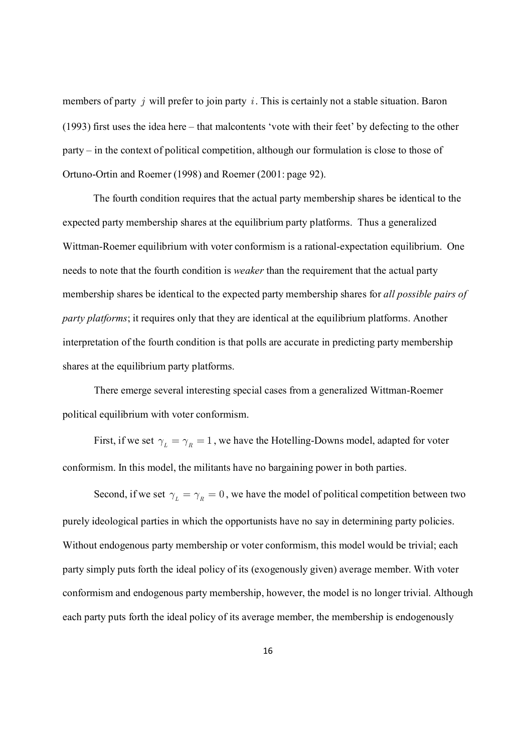members of party *j* will prefer to join party *i* . This is certainly not a stable situation. Baron (1993) first uses the idea here – that malcontents 'vote with their feet' by defecting to the other party – in the context of political competition, although our formulation is close to those of Ortuno-Ortin and Roemer (1998) and Roemer (2001: page 92).

The fourth condition requires that the actual party membership shares be identical to the expected party membership shares at the equilibrium party platforms. Thus a generalized Wittman-Roemer equilibrium with voter conformism is a rational-expectation equilibrium. One needs to note that the fourth condition is *weaker* than the requirement that the actual party membership shares be identical to the expected party membership shares for *all possible pairs of party platforms*; it requires only that they are identical at the equilibrium platforms. Another interpretation of the fourth condition is that polls are accurate in predicting party membership shares at the equilibrium party platforms.

There emerge several interesting special cases from a generalized Wittman-Roemer political equilibrium with voter conformism.

First, if we set  $\gamma_{\mu} = \gamma_{\mu} = 1$ , we have the Hotelling-Downs model, adapted for voter conformism. In this model, the militants have no bargaining power in both parties.

Second, if we set  $\gamma_{\mu} = \gamma_{\mu} = 0$ , we have the model of political competition between two purely ideological parties in which the opportunists have no say in determining party policies. Without endogenous party membership or voter conformism, this model would be trivial; each party simply puts forth the ideal policy of its (exogenously given) average member. With voter conformism and endogenous party membership, however, the model is no longer trivial. Although each party puts forth the ideal policy of its average member, the membership is endogenously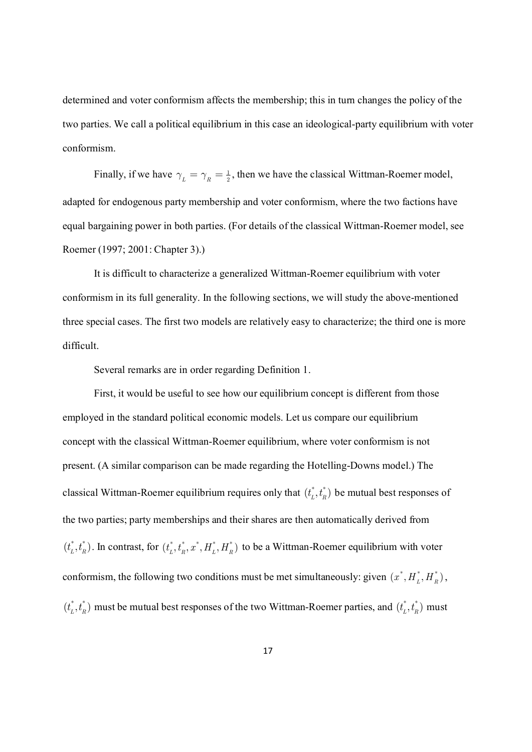determined and voter conformism affects the membership; this in turn changes the policy of the two parties. We call a political equilibrium in this case an ideological-party equilibrium with voter conformism.

Finally, if we have  $\gamma_L = \gamma_R = \frac{1}{2}$ , then we have the classical Wittman-Roemer model, adapted for endogenous party membership and voter conformism, where the two factions have equal bargaining power in both parties. (For details of the classical Wittman-Roemer model, see Roemer (1997; 2001: Chapter 3).)

It is difficult to characterize a generalized Wittman-Roemer equilibrium with voter conformism in its full generality. In the following sections, we will study the above-mentioned three special cases. The first two models are relatively easy to characterize; the third one is more difficult.

Several remarks are in order regarding Definition 1.

First, it would be useful to see how our equilibrium concept is different from those employed in the standard political economic models. Let us compare our equilibrium concept with the classical Wittman-Roemer equilibrium, where voter conformism is not present. (A similar comparison can be made regarding the Hotelling-Downs model.) The classical Wittman-Roemer equilibrium requires only that  $(t_L^*, t_R^*)$  be mutual best responses of the two parties; party memberships and their shares are then automatically derived from  $(t_L^*, t_R^*)$ . In contrast, for  $(t_L^*, t_R^*, x^*, H_L^*, H_R^*)$  to be a Wittman-Roemer equilibrium with voter conformism, the following two conditions must be met simultaneously: given  $(x^*, H_L^*, H_R^*)$ ,  $(t_L^*, t_R^*)$  must be mutual best responses of the two Wittman-Roemer parties, and  $(t_L^*, t_R^*)$  must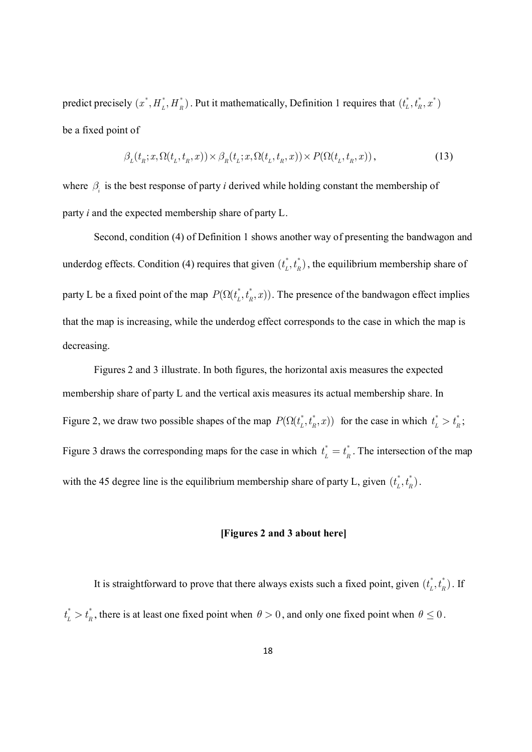predict precisely  $(x^*, H_L^*, H_R^*)$ . Put it mathematically, Definition 1 requires that  $(t_L^*, t_R^*, x^*)$ be a fixed point of

$$
\beta_L(t_R; x, \Omega(t_L, t_R, x)) \times \beta_R(t_L; x, \Omega(t_L, t_R, x)) \times P(\Omega(t_L, t_R, x)), \tag{13}
$$

where  $\beta$  is the best response of party *i* derived while holding constant the membership of party *i* and the expected membership share of party L.

Second, condition (4) of Definition 1 shows another way of presenting the bandwagon and underdog effects. Condition (4) requires that given  $(t_L^*, t_R^*)$ , the equilibrium membership share of party L be a fixed point of the map  $P(\Omega(t_L^*, t_R^*, x))$ . The presence of the bandwagon effect implies that the map is increasing, while the underdog effect corresponds to the case in which the map is decreasing.

Figures 2 and 3 illustrate. In both figures, the horizontal axis measures the expected membership share of party L and the vertical axis measures its actual membership share. In Figure 2, we draw two possible shapes of the map  $P(\Omega(t_L^*, t_R^*, x))$  for the case in which  $t_L^* > t_R^*$  $t_{L}^{*} > t_{R}^{*}$ ; Figure 3 draws the corresponding maps for the case in which  $t_i^* = t_i^*$  $t_L^* = t_R^*$ . The intersection of the map with the 45 degree line is the equilibrium membership share of party L, given  $(t_L^*, t_R^*)$ .

#### **[Figures 2 and 3 about here]**

It is straightforward to prove that there always exists such a fixed point, given  $(t_L^*, t_R^*)$ . If  $^*$   $\sim$   $^*$  $t_L^* > t_R^*$ , there is at least one fixed point when  $\theta > 0$ , and only one fixed point when  $\theta \le 0$ .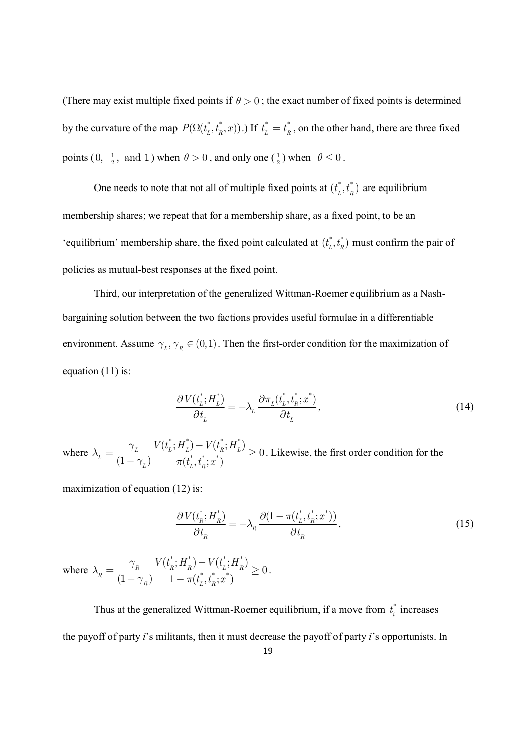(There may exist multiple fixed points if  $\theta > 0$ ; the exact number of fixed points is determined by the curvature of the map  $P(\Omega(t_L^*, t_R^*, x))$ .) If  $t_L^* = t_R^*$  $t_L^* = t_R^*$ , on the other hand, there are three fixed points  $(0, \frac{1}{2})$  $0, \frac{1}{2}, \text{ and } 1$ ) when  $\theta > 0$ , and only one  $\left(\frac{1}{2}\right)$  $\frac{1}{2}$ ) when  $\theta \le 0$ .

One needs to note that not all of multiple fixed points at  $(t_L^*, t_R^*)$  are equilibrium membership shares; we repeat that for a membership share, as a fixed point, to be an 'equilibrium' membership share, the fixed point calculated at  $(t_L^*, t_R^*)$  must confirm the pair of policies as mutual-best responses at the fixed point.

Third, our interpretation of the generalized Wittman-Roemer equilibrium as a Nashbargaining solution between the two factions provides useful formulae in a differentiable environment. Assume  $\gamma_L, \gamma_R \in (0,1)$ . Then the first-order condition for the maximization of equation  $(11)$  is:

$$
\frac{\partial V(t_L^*; H_L^*)}{\partial t_L} = -\lambda_L \frac{\partial \pi_L(t_L^*, t_R^*, x^*)}{\partial t_L},\tag{14}
$$

where  $^* \cdot H^* \setminus V \prime t^* \cdot H^*$  $\ddot{t}$   $\ddot{t}$   $\ddot{\cdot}$   $\ddot{\cdot}$  $(t_{\rm\scriptscriptstyle L}^{\scriptscriptstyle +};H_{\rm\scriptscriptstyle L}^{\scriptscriptstyle +})-V(t_{\rm\scriptscriptstyle R}^{\scriptscriptstyle +};H_{\rm\scriptscriptstyle L}^{\scriptscriptstyle +})$  $\boldsymbol{0}$  $(1 - \gamma_{L}) \qquad \pi(t_{L}^{*}, t_{R}^{*}; x^{*})$  $L$   $\frac{L}{L}$   $\frac{L}{L}$   $\frac{L}{L}$   $\frac{L}{L}$ *L*  $L$ <sup>*l*</sup>  $\cdots$   $C_L$ <sup>*v*</sup> $\cdots$   $R$  $V(t_{L}^{*};H_{L}^{*})-V(t_{R}^{*};H)$  $t_{\scriptscriptstyle L}^{},t_{\scriptscriptstyle R}^{};x$  $\gamma$  $\lambda$  $\gamma_{L}$ )  $\pi$ -  $=\frac{r_L}{r_L}$   $\frac{(L^2 - L^2)}{(L^* + L^* + \cdots)} \ge$ - . Likewise, the first order condition for the

maximization of equation (12) is:

$$
\frac{\partial V(t_R^*; H_R^*)}{\partial t_R} = -\lambda_R \frac{\partial (1 - \pi(t_L^*, t_R^*; x^*))}{\partial t_R},\tag{15}
$$

where  $^* \cdot U^* \setminus V/I^* \cdot U^*$  $*$  +  $*$   $\ldots$  $(t_{\rm R}^{}; H_{\rm R}^{}) - V(t_{\rm L}^{}; H_{\rm R}^{})$  $\theta$  $(1 - \gamma_{\overline{R}})$   $1 - \pi(t_L^*, t_R^*; x^*)$  $R$   $\frac{R}{R}$   $\frac{R}{R}$   $\frac{R}{R}$ *R R L R*  $V(t_{\scriptscriptstyle R}^{\scriptscriptstyle +};H_{\scriptscriptstyle R}^{\scriptscriptstyle -})-V(t_{\scriptscriptstyle L}^{\scriptscriptstyle +};H_{\scriptscriptstyle R}^{\scriptscriptstyle -})$  $(t_L^r, t_R^r; x$  $\gamma$  $\lambda$  $\gamma_R^{\,}$ ) 1 -  $\pi$ -  $=\frac{R}{(1-\gamma)^{1/2}}\frac{(R^{\gamma}-R^{\gamma})^{1/2}(L^{\gamma}-R^{\gamma})}{(R^{\gamma}-R^{\gamma})^{1/2}}\geq$  $-\gamma_R$ ) 1-.

Thus at the generalized Wittman-Roemer equilibrium, if a move from  $t_i^*$  $t_i$ <sup>\*</sup> increases the payoff of party *i*'s militants, then it must decrease the payoff of party *i*'s opportunists. In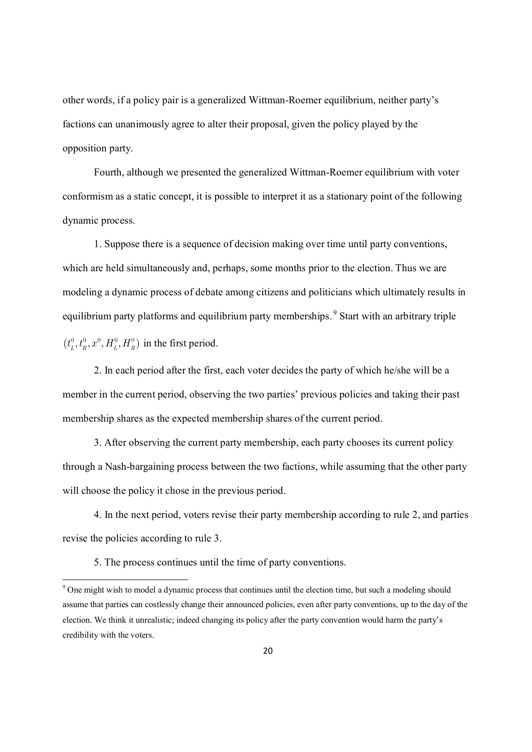other words, if a policy pair is a generalized Wittman-Roemer equilibrium, neither party's factions can unanimously agree to alter their proposal, given the policy played by the opposition party.

Fourth, although we presented the generalized Wittman-Roemer equilibrium with voter conformism as a static concept, it is possible to interpret it as a stationary point of the following dynamic process.

1. Suppose there is a sequence of decision making over time until party conventions, which are held simultaneously and, perhaps, some months prior to the election. Thus we are modeling a dynamic process of debate among citizens and politicians which ultimately results in equilibrium party platforms and equilibrium party memberships.<sup>9</sup> Start with an arbitrary triple  $(t_{L}^{0}, t_{R}^{0}, x^{0}, H_{L}^{0}, H_{R}^{0})$  in the first period.

2. In each period after the first, each voter decides the party of which he/she will be a member in the current period, observing the two parties' previous policies and taking their past membership shares as the expected membership shares of the current period.

3. After observing the current party membership, each party chooses its current policy through a Nash-bargaining process between the two factions, while assuming that the other party will choose the policy it chose in the previous period.

4. In the next period, voters revise their party membership according to rule 2, and parties revise the policies according to rule 3.

5. The process continues until the time of party conventions.

<sup>&</sup>lt;sup>9</sup> One might wish to model a dynamic process that continues until the election time, but such a modeling should assume that parties can costlessly change their announced policies, even after party conventions, up to the day of the election. We think it unrealistic; indeed changing its policy after the party convention would harm the party's credibility with the voters.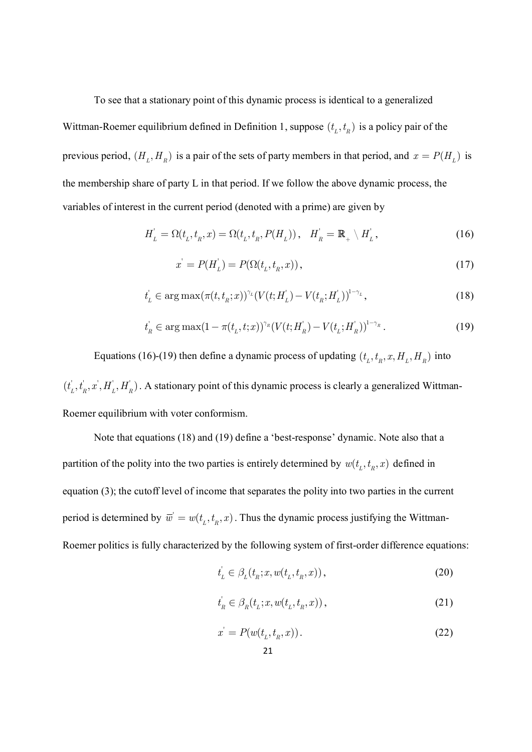To see that a stationary point of this dynamic process is identical to a generalized Wittman-Roemer equilibrium defined in Definition 1, suppose  $(t_L, t_R)$  is a policy pair of the previous period,  $(H_L, H_R)$  is a pair of the sets of party members in that period, and  $x = P(H_L)$  is the membership share of party L in that period. If we follow the above dynamic process, the variables of interest in the current period (denoted with a prime) are given by

$$
H'_{L} = \Omega(t_{L}, t_{R}, x) = \Omega(t_{L}, t_{R}, P(H_{L})), \quad H'_{R} = \mathbb{R}_{+} \setminus H'_{L}, \tag{16}
$$

$$
x' = P(H_L') = P(\Omega(t_L, t_R, x)),\tag{17}
$$

$$
t'_{L} \in \arg \max(\pi(t, t_{R}; x))^{\gamma_{L}} (V(t; H'_{L}) - V(t_{R}; H'_{L}))^{1-\gamma_{L}},
$$
\n(18)

$$
t'_{R} \in \arg \max(1 - \pi(t_{L}, t; x))^{\gamma_{R}} (V(t; H'_{R}) - V(t_{L}; H'_{R}))^{1 - \gamma_{R}}.
$$
\n(19)

Equations (16)-(19) then define a dynamic process of updating  $(t_L, t_R, x, H_L, H_R)$  into  $(t'_L, t'_R, x', H'_L, H'_R)$ . A stationary point of this dynamic process is clearly a generalized Wittman-Roemer equilibrium with voter conformism.

Note that equations (18) and (19) define a 'best-response' dynamic. Note also that a partition of the polity into the two parties is entirely determined by  $w(t_L, t_R, x)$  defined in equation (3); the cutoff level of income that separates the polity into two parties in the current period is determined by  $\overline{w}^{\prime} = w(t_L, t_R, x)$ . Thus the dynamic process justifying the Wittman-Roemer politics is fully characterized by the following system of first-order difference equations:

$$
t'_{L} \in \beta_{L}(t_{R}; x, w(t_{L}, t_{R}, x)), \qquad (20)
$$

$$
t'_{R} \in \beta_{R}(t_{L}; x, w(t_{L}, t_{R}, x)), \qquad (21)
$$

$$
x' = P(w(t_L, t_R, x)).
$$
\n(22)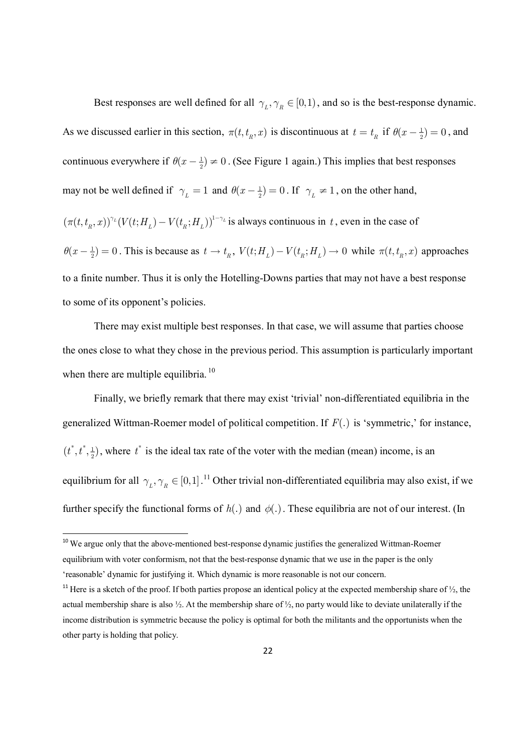Best responses are well defined for all  $\gamma_L, \gamma_R \in [0,1)$ , and so is the best-response dynamic. As we discussed earlier in this section,  $\pi(t, t_R, x)$  is discontinuous at  $t = t_R$  if  $\theta(x - \frac{1}{2}) = 0$ , and continuous everywhere if  $\theta(x - \frac{1}{2}) \neq 0$ . (See Figure 1 again.) This implies that best responses may not be well defined if  $\gamma_L = 1$  and  $\theta(x - \frac{1}{2}) = 0$ . If  $\gamma_L \neq 1$ , on the other hand,

 $(\pi(t, t_n, x))^{\gamma_L} (V(t; H_L) - V(t_n; H_L))^{1-\gamma_L}$  is always continuous in t, even in the case of

 $\theta(x-\frac{1}{2})=0$ . This is because as  $t \to t_R$ ,  $V(t; H_L) - V(t_R; H_L) \to 0$  while  $\pi(t, t_R, x)$  approaches to a finite number. Thus it is only the Hotelling-Downs parties that may not have a best response to some of its opponent's policies.

There may exist multiple best responses. In that case, we will assume that parties choose the ones close to what they chose in the previous period. This assumption is particularly important when there are multiple equilibria.<sup>10</sup>

Finally, we briefly remark that there may exist 'trivial' non-differentiated equilibria in the generalized Wittman-Roemer model of political competition. If *F*(.) is 'symmetric,' for instance,  $^*$   $^*$   $^1$  $(t^*, t^*, \frac{1}{2})$ , where  $t^*$  is the ideal tax rate of the voter with the median (mean) income, is an equilibrium for all  $\gamma_L, \gamma_R \in [0,1]$ .<sup>11</sup> Other trivial non-differentiated equilibria may also exist, if we further specify the functional forms of  $h(.)$  and  $\phi(.)$ . These equilibria are not of our interest. (In

<sup>&</sup>lt;sup>10</sup> We argue only that the above-mentioned best-response dynamic justifies the generalized Wittman-Roemer equilibrium with voter conformism, not that the best-response dynamic that we use in the paper is the only 'reasonable' dynamic for justifying it. Which dynamic is more reasonable is not our concern.

<sup>&</sup>lt;sup>11</sup> Here is a sketch of the proof. If both parties propose an identical policy at the expected membership share of  $\frac{1}{2}$ , the actual membership share is also  $\frac{1}{2}$ . At the membership share of  $\frac{1}{2}$ , no party would like to deviate unilaterally if the income distribution is symmetric because the policy is optimal for both the militants and the opportunists when the other party is holding that policy.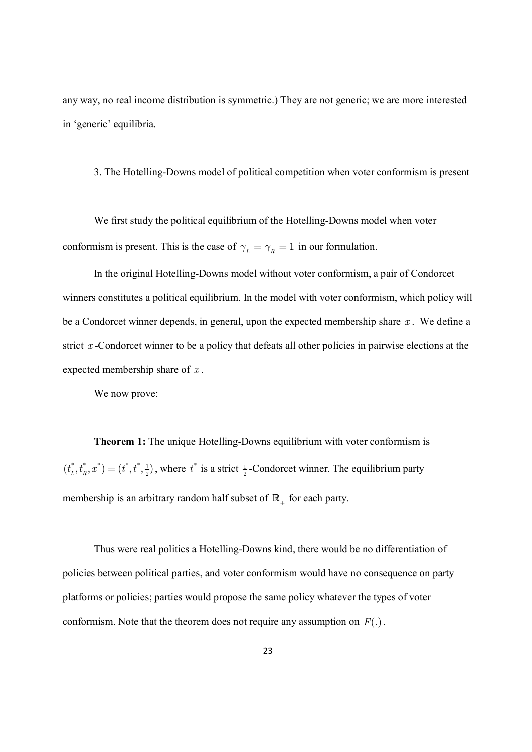any way, no real income distribution is symmetric.) They are not generic; we are more interested in 'generic' equilibria.

3. The Hotelling-Downs model of political competition when voter conformism is present

We first study the political equilibrium of the Hotelling-Downs model when voter conformism is present. This is the case of  $\gamma_L = \gamma_R = 1$  in our formulation.

In the original Hotelling-Downs model without voter conformism, a pair of Condorcet winners constitutes a political equilibrium. In the model with voter conformism, which policy will be a Condorcet winner depends, in general, upon the expected membership share *x* . We define a strict *x* -Condorcet winner to be a policy that defeats all other policies in pairwise elections at the expected membership share of *x* .

We now prove:

**Theorem 1:** The unique Hotelling-Downs equilibrium with voter conformism is  $\begin{array}{cc} * & t^* & r^* \end{array} = (t^* + t^* + 1$  $(t_L^*, t_R^*, x^*) = (t^*, t^*, \frac{1}{2})$ , where  $t^*$  is a strict  $\frac{1}{2}$ -Condorcet winner. The equilibrium party membership is an arbitrary random half subset of  $\mathbb{R}_+$  for each party.

Thus were real politics a Hotelling-Downs kind, there would be no differentiation of policies between political parties, and voter conformism would have no consequence on party platforms or policies; parties would propose the same policy whatever the types of voter conformism. Note that the theorem does not require any assumption on *F*(.).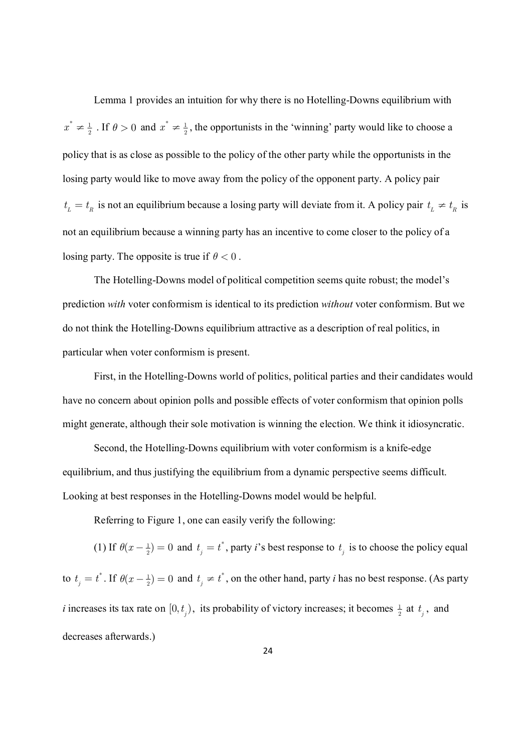Lemma 1 provides an intuition for why there is no Hotelling-Downs equilibrium with  $^*$   $\neq$  1  $x^* \neq \frac{1}{2}$ . If  $\theta > 0$  and  $x^* \neq \frac{1}{2}$  $x^* \neq \frac{1}{2}$ , the opportunists in the 'winning' party would like to choose a policy that is as close as possible to the policy of the other party while the opportunists in the losing party would like to move away from the policy of the opponent party. A policy pair  $t_L = t_R$  is not an equilibrium because a losing party will deviate from it. A policy pair  $t_L \neq t_R$  is not an equilibrium because a winning party has an incentive to come closer to the policy of a losing party. The opposite is true if  $\theta < 0$ .

The Hotelling-Downs model of political competition seems quite robust; the model's prediction *with* voter conformism is identical to its prediction *without* voter conformism. But we do not think the Hotelling-Downs equilibrium attractive as a description of real politics, in particular when voter conformism is present.

First, in the Hotelling-Downs world of politics, political parties and their candidates would have no concern about opinion polls and possible effects of voter conformism that opinion polls might generate, although their sole motivation is winning the election. We think it idiosyncratic.

Second, the Hotelling-Downs equilibrium with voter conformism is a knife-edge equilibrium, and thus justifying the equilibrium from a dynamic perspective seems difficult. Looking at best responses in the Hotelling-Downs model would be helpful.

Referring to Figure 1, one can easily verify the following:

(1) If  $\theta(x - \frac{1}{2}) = 0$  and  $t_j = t^*$  $t_j = t^*$ , party *i*'s best response to  $t_j$  is to choose the policy equal to  $t_{i} = t^*$  $t_j = t^*$ . If  $\theta(x - \frac{1}{2}) = 0$  and  $t_j \neq t^*$  $t_j \neq t^*$ , on the other hand, party *i* has no best response. (As party *i* increases its tax rate on  $[0, t_j)$ , its probability of victory increases; it becomes  $\frac{1}{2}$  at  $t_j$ , and decreases afterwards.)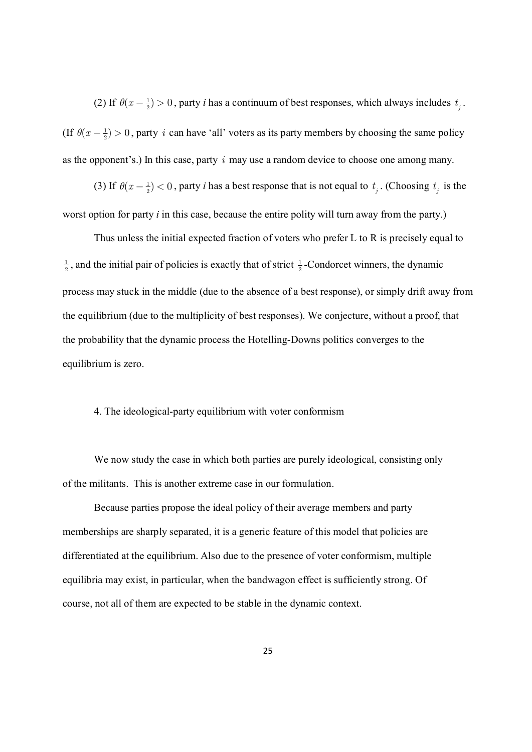(2) If  $\theta(x - \frac{1}{2}) > 0$ , party *i* has a continuum of best responses, which always includes  $t_j$ . (If  $\theta(x - \frac{1}{2}) > 0$ , party *i* can have 'all' voters as its party members by choosing the same policy as the opponent's.) In this case, party *i* may use a random device to choose one among many.

(3) If  $\theta(x - \frac{1}{2}) < 0$ , party *i* has a best response that is not equal to  $t_j$ . (Choosing  $t_j$  is the worst option for party *i* in this case, because the entire polity will turn away from the party.)

Thus unless the initial expected fraction of voters who prefer L to R is precisely equal to  $\frac{1}{2}$ , and the initial pair of policies is exactly that of strict  $\frac{1}{2}$ -Condorcet winners, the dynamic process may stuck in the middle (due to the absence of a best response), or simply drift away from the equilibrium (due to the multiplicity of best responses). We conjecture, without a proof, that the probability that the dynamic process the Hotelling-Downs politics converges to the equilibrium is zero.

#### 4. The ideological-party equilibrium with voter conformism

We now study the case in which both parties are purely ideological, consisting only of the militants. This is another extreme case in our formulation.

Because parties propose the ideal policy of their average members and party memberships are sharply separated, it is a generic feature of this model that policies are differentiated at the equilibrium. Also due to the presence of voter conformism, multiple equilibria may exist, in particular, when the bandwagon effect is sufficiently strong. Of course, not all of them are expected to be stable in the dynamic context.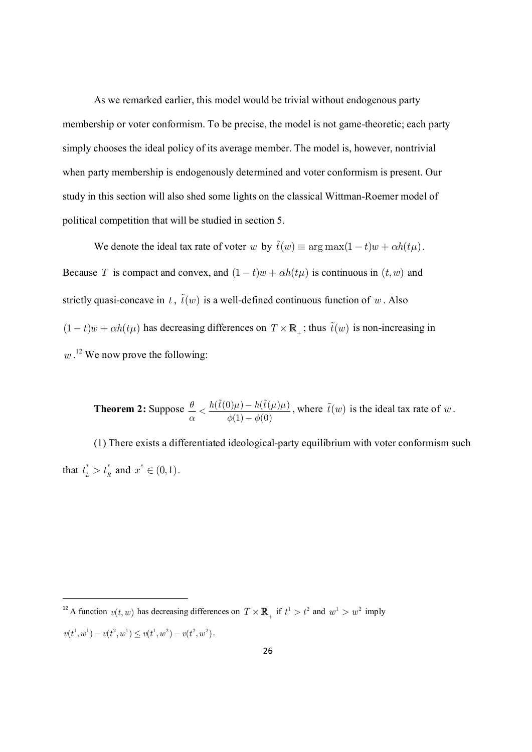As we remarked earlier, this model would be trivial without endogenous party membership or voter conformism. To be precise, the model is not game-theoretic; each party simply chooses the ideal policy of its average member. The model is, however, nontrivial when party membership is endogenously determined and voter conformism is present. Our study in this section will also shed some lights on the classical Wittman-Roemer model of political competition that will be studied in section 5.

We denote the ideal tax rate of voter *w* by  $\tilde{t}(w) \equiv \arg \max(1-t)w + \alpha h(t\mu)$ . Because *T* is compact and convex, and  $(1-t)w + \alpha h(t\mu)$  is continuous in  $(t, w)$  and strictly quasi-concave in *t*,  $\tilde{t}(w)$  is a well-defined continuous function of *w*. Also  $(1-t)w + \alpha h(t\mu)$  has decreasing differences on  $T \times \mathbb{R}_+$ ; thus  $\tilde{t}(w)$  is non-increasing in *w* . <sup>12</sup> We now prove the following:

**Theorem 2:** Suppose  $\frac{\theta}{\epsilon} < \frac{h(t(0)\mu) - h(t(\mu)\mu)}{h(t(\mu))}$  $\phi(1) - \phi(0)$  $\theta \ge h(t(0)\mu) - h(t(\mu)\mu)$  $\alpha$   $\phi(1) - \phi$  $\lt \frac{h(t(0)\mu)-}{(1)}$ -  $\frac{\tilde{t}(0)\mu - h(\tilde{t}(\mu)\mu)}{(\mu - \mu)(\mu)}$ , where  $\tilde{t}(w)$  is the ideal tax rate of *w*.

(1) There exists a differentiated ideological-party equilibrium with voter conformism such that  $t_r^* > t_a^*$  $t_L^* > t_R^*$  and  $x^* \in (0,1)$ .

<sup>&</sup>lt;sup>12</sup> A function  $v(t, w)$  has decreasing differences on  $T \times \mathbb{R}_+$  if  $t^1 > t^2$  and  $w^1 > w^2$  imply  $v(t^1, w^1) - v(t^2, w^1) \leq v(t^1, w^2) - v(t^2, w^2).$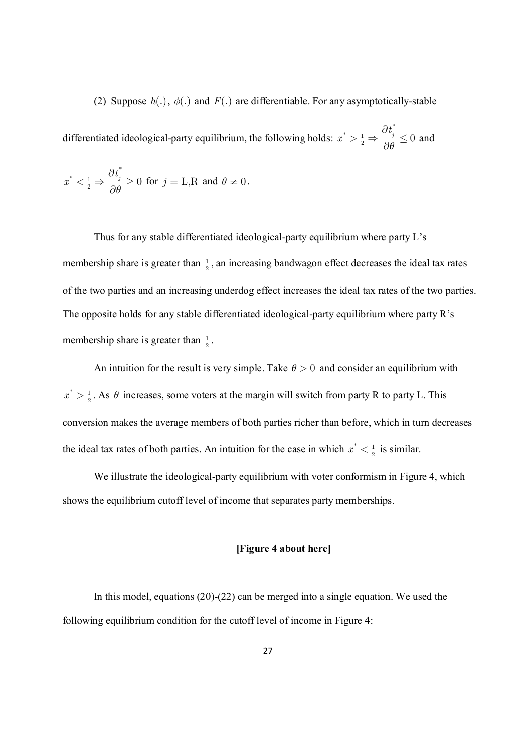(2) Suppose  $h(.)$ ,  $\phi(.)$  and  $F(.)$  are differentiable. For any asymptotically-stable

differentiated ideological-party equilibrium, the following holds: \*  $^*$   $\smile$   $\smash{1}$  $\frac{1}{2} \Rightarrow \frac{\partial t_j^*}{\partial \theta} \leq 0$ *x q*  $\partial$  $>\frac{1}{2}$   $\Rightarrow$   $\frac{1}{20}$   $\leq$  $\partial$ and

$$
x^* < \frac{1}{2} \Rightarrow \frac{\partial t_j^*}{\partial \theta} \ge 0 \text{ for } j = \text{L,R and } \theta \ne 0.
$$

Thus for any stable differentiated ideological-party equilibrium where party L's membership share is greater than  $\frac{1}{2}$ , an increasing bandwagon effect decreases the ideal tax rates of the two parties and an increasing underdog effect increases the ideal tax rates of the two parties. The opposite holds for any stable differentiated ideological-party equilibrium where party R's membership share is greater than  $\frac{1}{2}$ .

An intuition for the result is very simple. Take  $\theta > 0$  and consider an equilibrium with  $^*$   $\frac{1}{2}$  $x^* > \frac{1}{2}$ . As  $\theta$  increases, some voters at the margin will switch from party R to party L. This conversion makes the average members of both parties richer than before, which in turn decreases the ideal tax rates of both parties. An intuition for the case in which  $x^* < \frac{1}{2}$  $x^* < \frac{1}{2}$  is similar.

We illustrate the ideological-party equilibrium with voter conformism in Figure 4, which shows the equilibrium cutoff level of income that separates party memberships.

#### **[Figure 4 about here]**

In this model, equations (20)-(22) can be merged into a single equation. We used the following equilibrium condition for the cutoff level of income in Figure 4: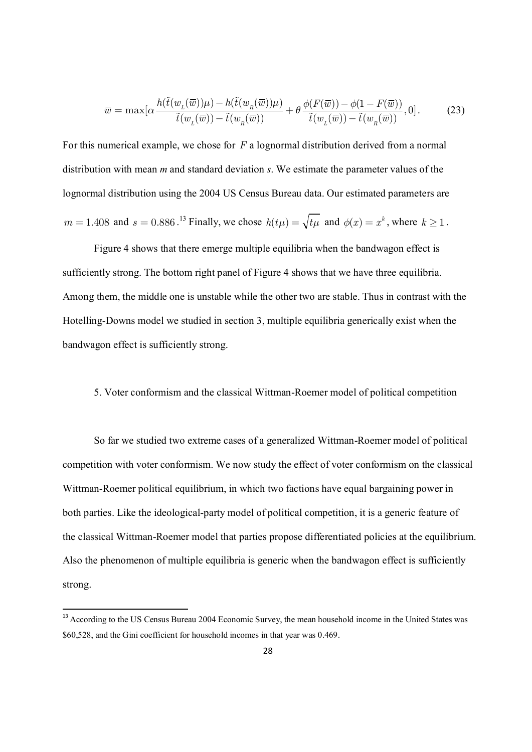$$
\overline{w} = \max[\alpha \frac{h(\tilde{t}(w_L(\overline{w}))\mu) - h(\tilde{t}(w_R(\overline{w}))\mu)}{\tilde{t}(w_L(\overline{w})) - \tilde{t}(w_R(\overline{w}))} + \theta \frac{\phi(F(\overline{w})) - \phi(1 - F(\overline{w}))}{\tilde{t}(w_L(\overline{w})) - \tilde{t}(w_R(\overline{w}))}, 0].
$$
\n(23)

For this numerical example, we chose for *F* a lognormal distribution derived from a normal distribution with mean *m* and standard deviation *s*. We estimate the parameter values of the lognormal distribution using the 2004 US Census Bureau data. Our estimated parameters are  $m = 1.408$  and  $s = 0.886$ .<sup>13</sup> Finally, we chose  $h(t\mu) = \sqrt{t\mu}$  and  $\phi(x) = x^k$ , where  $k \ge 1$ .

Figure 4 shows that there emerge multiple equilibria when the bandwagon effect is sufficiently strong. The bottom right panel of Figure 4 shows that we have three equilibria. Among them, the middle one is unstable while the other two are stable. Thus in contrast with the Hotelling-Downs model we studied in section 3, multiple equilibria generically exist when the bandwagon effect is sufficiently strong.

#### 5. Voter conformism and the classical Wittman-Roemer model of political competition

So far we studied two extreme cases of a generalized Wittman-Roemer model of political competition with voter conformism. We now study the effect of voter conformism on the classical Wittman-Roemer political equilibrium, in which two factions have equal bargaining power in both parties. Like the ideological-party model of political competition, it is a generic feature of the classical Wittman-Roemer model that parties propose differentiated policies at the equilibrium. Also the phenomenon of multiple equilibria is generic when the bandwagon effect is sufficiently strong.

<sup>&</sup>lt;sup>13</sup> According to the US Census Bureau 2004 Economic Survey, the mean household income in the United States was \$60,528, and the Gini coefficient for household incomes in that year was 0.469.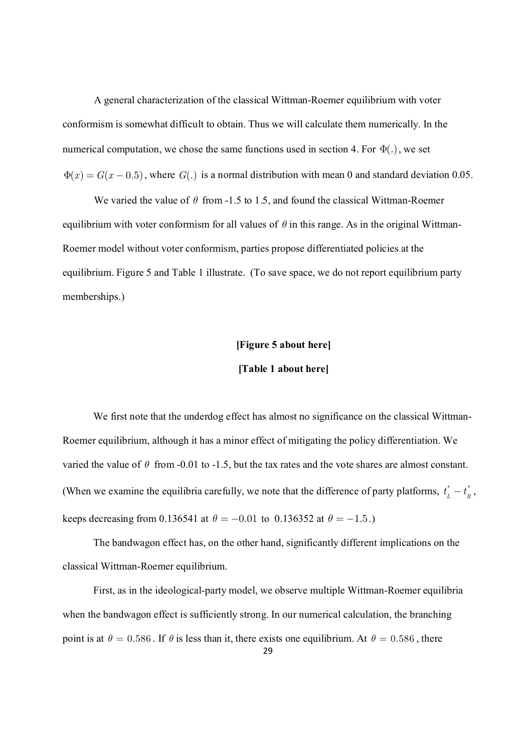A general characterization of the classical Wittman-Roemer equilibrium with voter conformism is somewhat difficult to obtain. Thus we will calculate them numerically. In the numerical computation, we chose the same functions used in section 4. For  $\Phi(.)$ , we set  $\Phi(x) = G(x - 0.5)$ , where  $G(.)$  is a normal distribution with mean 0 and standard deviation 0.05.

We varied the value of  $\theta$  from -1.5 to 1.5, and found the classical Wittman-Roemer equilibrium with voter conformism for all values of  $\theta$  in this range. As in the original Wittman-Roemer model without voter conformism, parties propose differentiated policies at the equilibrium. Figure 5 and Table 1 illustrate. (To save space, we do not report equilibrium party memberships.)

#### **[Figure 5 about here]**

#### **[Table 1 about here]**

We first note that the underdog effect has almost no significance on the classical Wittman-Roemer equilibrium, although it has a minor effect of mitigating the policy differentiation. We varied the value of  $\theta$  from -0.01 to -1.5, but the tax rates and the vote shares are almost constant. (When we examine the equilibria carefully, we note that the difference of party platforms,  $t_r^* - t_r^*$  $t_{L}^{*}-t_{R}^{*}$ keeps decreasing from 0.136541 at  $\theta = -0.01$  to 0.136352 at  $\theta = -1.5$ .)

The bandwagon effect has, on the other hand, significantly different implications on the classical Wittman-Roemer equilibrium.

First, as in the ideological-party model, we observe multiple Wittman-Roemer equilibria when the bandwagon effect is sufficiently strong. In our numerical calculation, the branching point is at  $\theta = 0.586$ . If  $\theta$  is less than it, there exists one equilibrium. At  $\theta = 0.586$ , there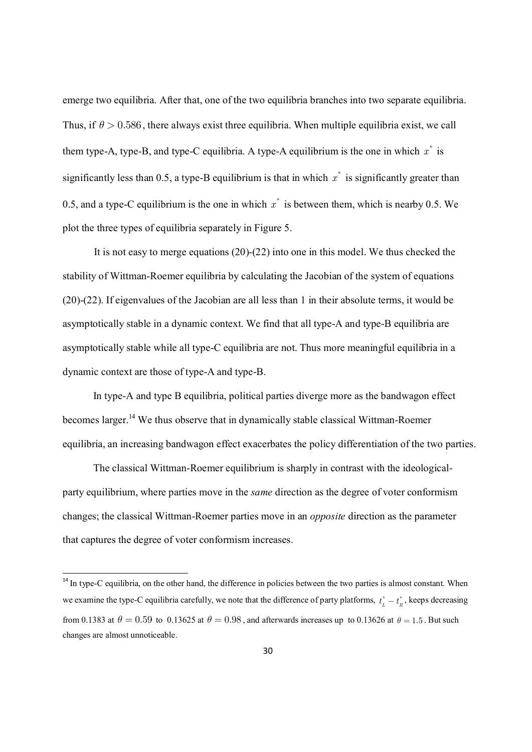emerge two equilibria. After that, one of the two equilibria branches into two separate equilibria. Thus, if  $\theta > 0.586$ , there always exist three equilibria. When multiple equilibria exist, we call them type-A, type-B, and type-C equilibria. A type-A equilibrium is the one in which  $x^*$  is significantly less than 0.5, a type-B equilibrium is that in which  $x^*$  is significantly greater than 0.5, and a type-C equilibrium is the one in which  $x^*$  is between them, which is nearby 0.5. We plot the three types of equilibria separately in Figure 5.

It is not easy to merge equations (20)-(22) into one in this model. We thus checked the stability of Wittman-Roemer equilibria by calculating the Jacobian of the system of equations (20)-(22). If eigenvalues of the Jacobian are all less than 1 in their absolute terms, it would be asymptotically stable in a dynamic context. We find that all type-A and type-B equilibria are asymptotically stable while all type-C equilibria are not. Thus more meaningful equilibria in a dynamic context are those of type-A and type-B.

In type-A and type B equilibria, political parties diverge more as the bandwagon effect becomes larger.<sup>14</sup> We thus observe that in dynamically stable classical Wittman-Roemer equilibria, an increasing bandwagon effect exacerbates the policy differentiation of the two parties.

The classical Wittman-Roemer equilibrium is sharply in contrast with the ideologicalparty equilibrium, where parties move in the *same* direction as the degree of voter conformism changes; the classical Wittman-Roemer parties move in an *opposite* direction as the parameter that captures the degree of voter conformism increases.

<sup>&</sup>lt;sup>14</sup> In type-C equilibria, on the other hand, the difference in policies between the two parties is almost constant. When we examine the type-C equilibria carefully, we note that the difference of party platforms,  $t_L^* - t_R^*$ , keeps decreasing from 0.1383 at  $\theta = 0.59$  to 0.13625 at  $\theta = 0.98$ , and afterwards increases up to 0.13626 at  $\theta = 1.5$ . But such changes are almost unnoticeable.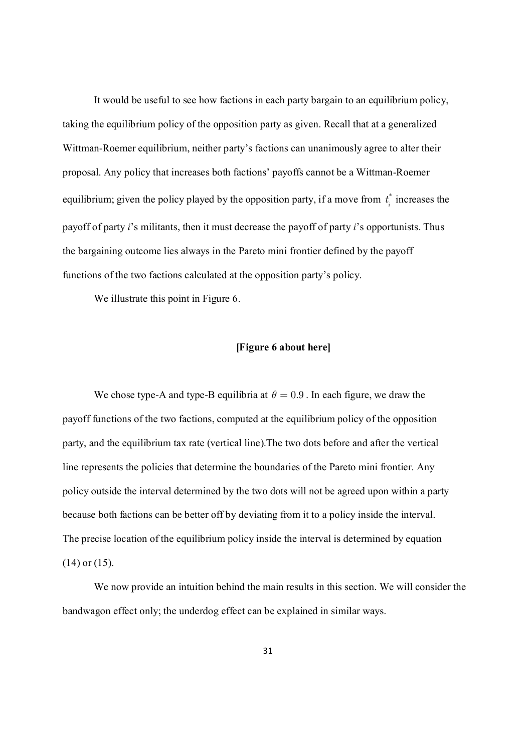It would be useful to see how factions in each party bargain to an equilibrium policy, taking the equilibrium policy of the opposition party as given. Recall that at a generalized Wittman-Roemer equilibrium, neither party's factions can unanimously agree to alter their proposal. Any policy that increases both factions' payoffs cannot be a Wittman-Roemer equilibrium; given the policy played by the opposition party, if a move from  $t_i^*$  $t_i^*$  increases the payoff of party *i*'s militants, then it must decrease the payoff of party *i*'s opportunists. Thus the bargaining outcome lies always in the Pareto mini frontier defined by the payoff functions of the two factions calculated at the opposition party's policy.

We illustrate this point in Figure 6.

#### **[Figure 6 about here]**

We chose type-A and type-B equilibria at  $\theta = 0.9$ . In each figure, we draw the payoff functions of the two factions, computed at the equilibrium policy of the opposition party, and the equilibrium tax rate (vertical line).The two dots before and after the vertical line represents the policies that determine the boundaries of the Pareto mini frontier. Any policy outside the interval determined by the two dots will not be agreed upon within a party because both factions can be better off by deviating from it to a policy inside the interval. The precise location of the equilibrium policy inside the interval is determined by equation (14) or (15).

We now provide an intuition behind the main results in this section. We will consider the bandwagon effect only; the underdog effect can be explained in similar ways.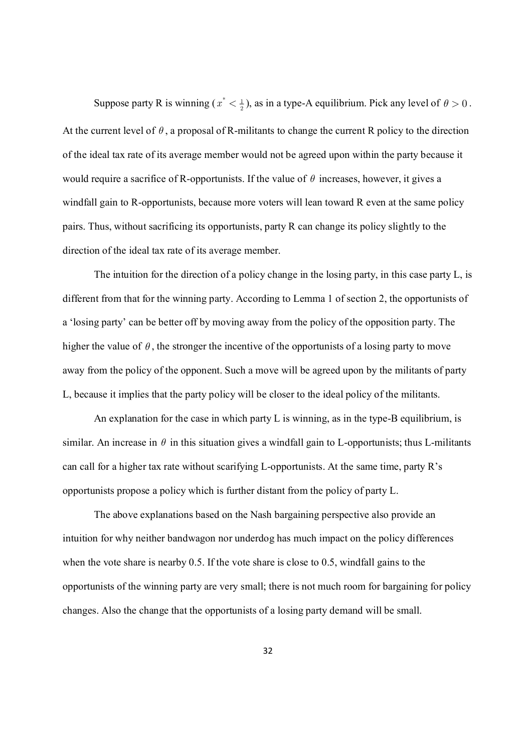Suppose party R is winning ( $x^* < \frac{1}{2}$ ), as in a type-A equilibrium. Pick any level of  $\theta > 0$ . At the current level of  $\theta$ , a proposal of R-militants to change the current R policy to the direction of the ideal tax rate of its average member would not be agreed upon within the party because it would require a sacrifice of R-opportunists. If the value of  $\theta$  increases, however, it gives a windfall gain to R-opportunists, because more voters will lean toward R even at the same policy pairs. Thus, without sacrificing its opportunists, party R can change its policy slightly to the direction of the ideal tax rate of its average member.

The intuition for the direction of a policy change in the losing party, in this case party L, is different from that for the winning party. According to Lemma 1 of section 2, the opportunists of a 'losing party' can be better off by moving away from the policy of the opposition party. The higher the value of  $\theta$ , the stronger the incentive of the opportunists of a losing party to move away from the policy of the opponent. Such a move will be agreed upon by the militants of party L, because it implies that the party policy will be closer to the ideal policy of the militants.

An explanation for the case in which party L is winning, as in the type-B equilibrium, is similar. An increase in  $\theta$  in this situation gives a windfall gain to L-opportunists; thus L-militants can call for a higher tax rate without scarifying L-opportunists. At the same time, party R's opportunists propose a policy which is further distant from the policy of party L.

The above explanations based on the Nash bargaining perspective also provide an intuition for why neither bandwagon nor underdog has much impact on the policy differences when the vote share is nearby 0.5. If the vote share is close to 0.5, windfall gains to the opportunists of the winning party are very small; there is not much room for bargaining for policy changes. Also the change that the opportunists of a losing party demand will be small.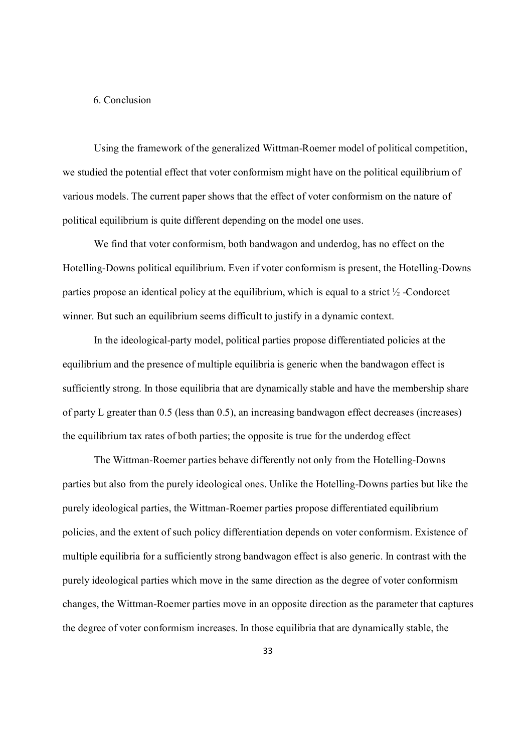#### 6. Conclusion

Using the framework of the generalized Wittman-Roemer model of political competition, we studied the potential effect that voter conformism might have on the political equilibrium of various models. The current paper shows that the effect of voter conformism on the nature of political equilibrium is quite different depending on the model one uses.

We find that voter conformism, both bandwagon and underdog, has no effect on the Hotelling-Downs political equilibrium. Even if voter conformism is present, the Hotelling-Downs parties propose an identical policy at the equilibrium, which is equal to a strict ½ -Condorcet winner. But such an equilibrium seems difficult to justify in a dynamic context.

In the ideological-party model, political parties propose differentiated policies at the equilibrium and the presence of multiple equilibria is generic when the bandwagon effect is sufficiently strong. In those equilibria that are dynamically stable and have the membership share of party L greater than 0.5 (less than 0.5), an increasing bandwagon effect decreases (increases) the equilibrium tax rates of both parties; the opposite is true for the underdog effect

The Wittman-Roemer parties behave differently not only from the Hotelling-Downs parties but also from the purely ideological ones. Unlike the Hotelling-Downs parties but like the purely ideological parties, the Wittman-Roemer parties propose differentiated equilibrium policies, and the extent of such policy differentiation depends on voter conformism. Existence of multiple equilibria for a sufficiently strong bandwagon effect is also generic. In contrast with the purely ideological parties which move in the same direction as the degree of voter conformism changes, the Wittman-Roemer parties move in an opposite direction as the parameter that captures the degree of voter conformism increases. In those equilibria that are dynamically stable, the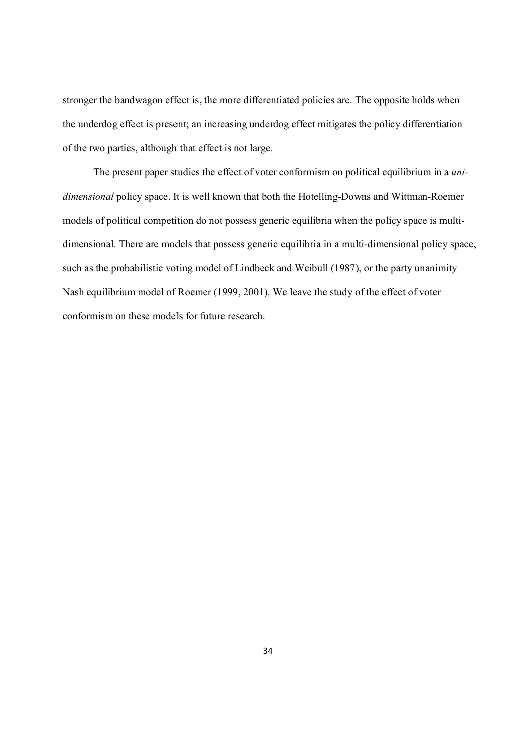stronger the bandwagon effect is, the more differentiated policies are. The opposite holds when the underdog effect is present; an increasing underdog effect mitigates the policy differentiation of the two parties, although that effect is not large.

The present paper studies the effect of voter conformism on political equilibrium in a *unidimensional* policy space. It is well known that both the Hotelling-Downs and Wittman-Roemer models of political competition do not possess generic equilibria when the policy space is multidimensional. There are models that possess generic equilibria in a multi-dimensional policy space, such as the probabilistic voting model of Lindbeck and Weibull (1987), or the party unanimity Nash equilibrium model of Roemer (1999, 2001). We leave the study of the effect of voter conformism on these models for future research.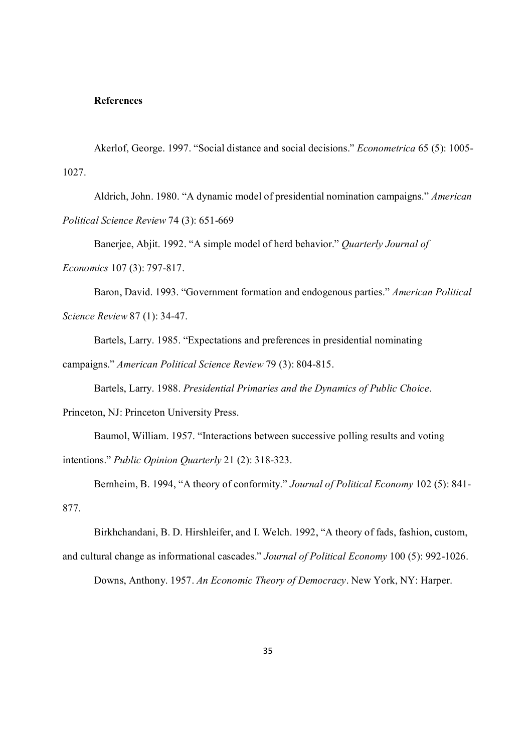#### **References**

Akerlof, George. 1997. "Social distance and social decisions." *Econometrica* 65 (5): 1005- 1027.

Aldrich, John. 1980. "A dynamic model of presidential nomination campaigns." *American Political Science Review* 74 (3): 651-669

Banerjee, Abjit. 1992. "A simple model of herd behavior." *Quarterly Journal of Economics* 107 (3): 797-817.

Baron, David. 1993. "Government formation and endogenous parties." *American Political Science Review* 87 (1): 34-47.

Bartels, Larry. 1985. "Expectations and preferences in presidential nominating campaigns." *American Political Science Review* 79 (3): 804-815.

Bartels, Larry. 1988. *Presidential Primaries and the Dynamics of Public Choice*.

Princeton, NJ: Princeton University Press.

Baumol, William. 1957. "Interactions between successive polling results and voting intentions." *Public Opinion Quarterly* 21 (2): 318-323.

Bernheim, B. 1994, "A theory of conformity." *Journal of Political Economy* 102 (5): 841- 877.

Birkhchandani, B. D. Hirshleifer, and I. Welch. 1992, "A theory of fads, fashion, custom,

and cultural change as informational cascades." *Journal of Political Economy* 100 (5): 992-1026.

Downs, Anthony. 1957. *An Economic Theory of Democracy*. New York, NY: Harper.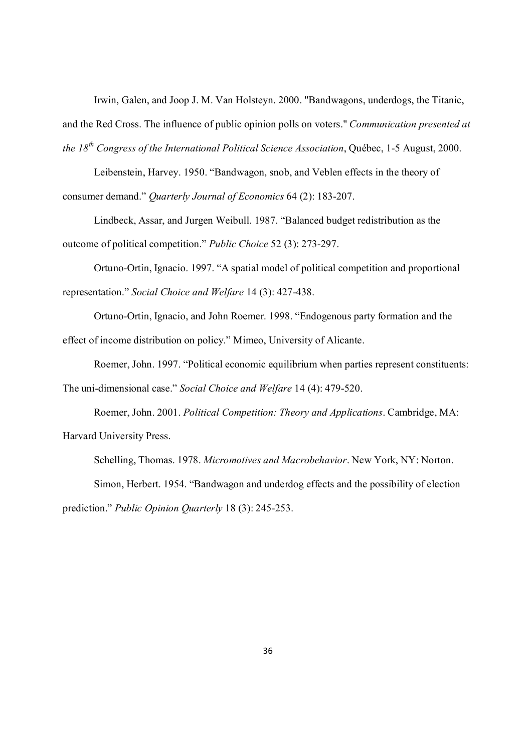Irwin, Galen, and Joop J. M. Van Holsteyn. 2000. "Bandwagons, underdogs, the Titanic,

and the Red Cross. The influence of public opinion polls on voters." *Communication presented at the 18 th Congress of the International Political Science Association*, Québec, 1-5 August, 2000.

Leibenstein, Harvey. 1950. "Bandwagon, snob, and Veblen effects in the theory of consumer demand." *Quarterly Journal of Economics* 64 (2): 183-207.

Lindbeck, Assar, and Jurgen Weibull. 1987. "Balanced budget redistribution as the outcome of political competition." *Public Choice* 52 (3): 273-297.

Ortuno-Ortin, Ignacio. 1997. "A spatial model of political competition and proportional representation." *Social Choice and Welfare* 14 (3): 427-438.

Ortuno-Ortin, Ignacio, and John Roemer. 1998. "Endogenous party formation and the effect of income distribution on policy." Mimeo, University of Alicante.

Roemer, John. 1997. "Political economic equilibrium when parties represent constituents: The uni-dimensional case." *Social Choice and Welfare* 14 (4): 479-520.

Roemer, John. 2001. *Political Competition: Theory and Applications*. Cambridge, MA: Harvard University Press.

Schelling, Thomas. 1978. *Micromotives and Macrobehavior*. New York, NY: Norton. Simon, Herbert. 1954. "Bandwagon and underdog effects and the possibility of election prediction." *Public Opinion Quarterly* 18 (3): 245-253.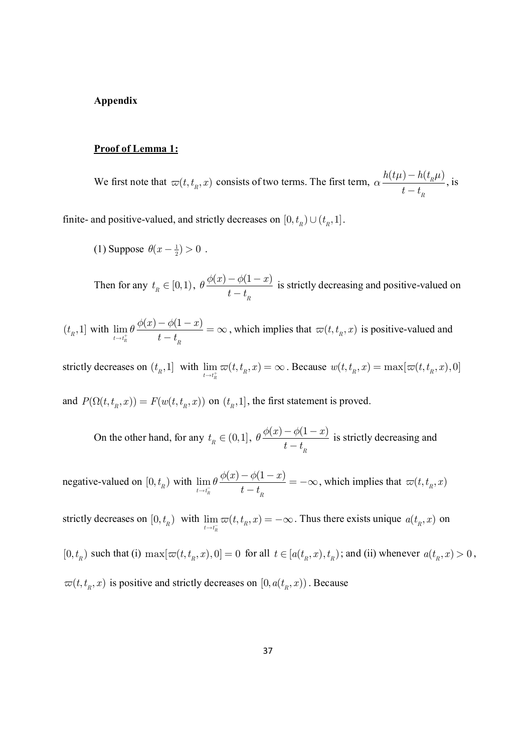#### **Appendix**

#### **Proof of Lemma 1:**

We first note that  $\varpi(t, t_R, x)$  consists of two terms. The first term,  $\alpha \frac{h(t\mu) - h(t_R \mu)}{t_R}$ *R*  $t - t$  $\mu$ ) —  $h(t_{_R}\mu)$ *a* - - , is

finite- and positive-valued, and strictly decreases on  $[0, t_R) \cup (t_R, 1]$ .

(1) Suppose 
$$
\theta(x - \frac{1}{2}) > 0
$$
.

Then for any  $t_R \in [0,1)$ ,  $\theta \frac{\phi(x) - \phi(1-x)}{t-t}$ *R*  $t - t$  $\theta \frac{\phi(x) - \phi(1 - \phi)}{1 - \phi(x)}$  is strictly decreasing and positive-valued on

 $(t_R, 1]$  with  $\lim_{t \to t^+} \theta \frac{\phi(x) - \phi(1-x)}{t-t}$  $t \rightarrow t_R^+$   $t-t_R^$  $f(x) - \phi(1-x)$  $t - t$  $\lim_{x \to t_{n}^{+}} \theta \frac{\phi(x) - \phi}{t - 1}$  $\frac{-\phi(1-x)}{1-\phi(x)} = \infty$ - , which implies that  $\varpi(t, t_{R}, x)$  is positive-valued and

strictly decreases on  $(t_R, 1]$  with  $\lim_{t \to t^+} \varpi(t, t_R, x)$  $\lim_{t \to t_h^+} \varpi(t, t_R, x) = \infty$ . Because  $w(t, t_R, x) = \max[\varpi(t, t_R, x), 0]$ and  $P(\Omega(t, t_{R}, x)) = F(w(t, t_{R}, x))$  on  $(t_{R}, 1]$ , the first statement is proved.

On the other hand, for any  $t_R \in (0,1]$ ,  $\theta \frac{\phi(x) - \phi(1-x)}{t-t}$ *R*  $f(x) - \phi(1-x)$  $t - t$  $\theta \frac{\phi(x) - \phi(1 - \phi)}{1 - \phi(x)}$  is strictly decreasing and

negative-valued on  $[0, t_R)$  with  $\lim_{t \to t^-} \theta \frac{\phi(x) - \phi(1-x)}{t-t}$  $t \rightarrow t_R^ t - t_R^ (x) - \phi(1 - x)$  $t - t$  $\lim_{x\to t_{\bar R}^-}\theta\frac{\phi(x)-\phi}{t-1}$  $\frac{-\phi(1-x)}{1-\phi(1-x)} = -\infty$ - , which implies that  $\varpi(t, t_{\scriptscriptstyle R}, x)$ 

strictly decreases on  $[0, t_R)$  with  $\lim_{t \to t^-} \varpi(t, t_R, x)$  $\lim_{t \to t_R^-} \varpi(t, t_R, x) = -\infty$ . Thus there exists unique  $a(t_R, x)$  on

 $[0, t_R)$  such that (i)  $\max[\varpi(t, t_R, x), 0] = 0$  for all  $t \in [a(t_R, x), t_R)$ ; and (ii) whenever  $a(t_R, x) > 0$ ,  $\varpi(t, t_{R}, x)$  is positive and strictly decreases on  $[0, a(t_{R}, x))$ . Because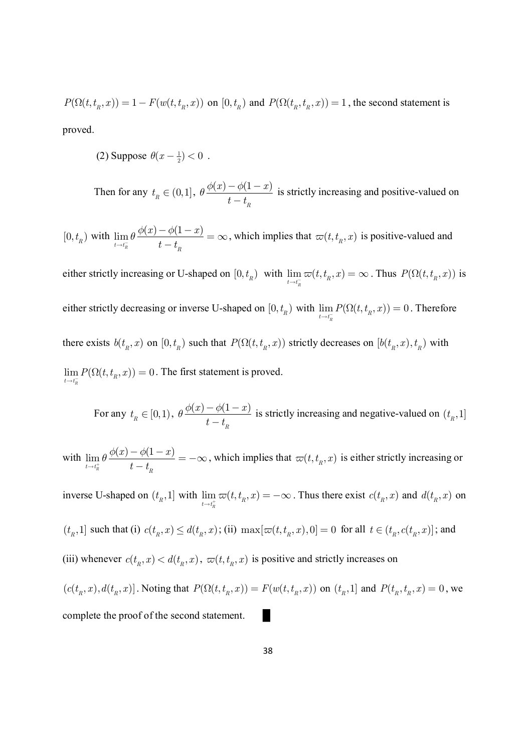$P(\Omega(t,t_R,x)) = 1 - F(w(t,t_R,x))$  on  $[0,t_R)$  and  $P(\Omega(t_R,t_R,x)) = 1$ , the second statement is

proved.

(2) Suppose  $\theta(x - \frac{1}{2}) < 0$ .

Then for any  $t_R \in (0,1]$ ,  $\theta \frac{\phi(x) - \phi(1-x)}{t-t}$ *R*  $t - t$  $\theta \frac{\phi(x) - \phi(1 - \phi)}{1 - \phi(x)}$  is strictly increasing and positive-valued on

 $[0, t_R)$  with  $\lim_{t \to t^-} \theta \frac{\phi(x) - \phi(1-x)}{t-t}$  $t \rightarrow t_R^ t - t_R^$  $f(x) - \phi(1-x)$  $t - t$  $\displaystyle \lim_{t\to t_{R}^{-}}\theta \, \frac{\phi(x)-\phi}{t-1}$  $\frac{-\phi(1-x)}{1-\phi(x)} = \infty$ - , which implies that  $\varpi(t, t_{R}, x)$  is positive-valued and

either strictly increasing or U-shaped on  $[0, t_R)$  with  $\lim_{t \to t^-} \varpi(t, t_R, x)$  $\lim_{t \to t_h^-} \varpi(t, t_R, x) = \infty$ . Thus  $P(\Omega(t, t_R, x))$  is either strictly decreasing or inverse U-shaped on  $[0, t_R)$  with  $\lim_{t \to t^-} P(\Omega(t, t_R, x)) = 0$  $\lim_{t \to t_R^-} P(\Omega(t, t_R, x)) = 0$ . Therefore there exists  $b(t_R, x)$  on  $[0, t_R)$  such that  $P(\Omega(t, t_R, x))$  strictly decreases on  $[b(t_R, x), t_R)$  with  $\lim P(\Omega(t,t_{\scriptscriptstyle R},x)) = 0$  $\lim_{t \to t_{\overline{n}}} P(\Omega(t, t_{\overline{n}}, x)) = 0$ . The first statement is proved.

For any  $t_R \in [0,1)$ ,  $\theta \frac{\phi(x) - \phi(1-x)}{t-t}$ *R*  $t - t$  $\theta \frac{\phi(x) - \phi(1 - \phi)}{1 - \phi(x)}$  is strictly increasing and negative-valued on  $(t_R, 1]$ 

with  $\lim_{x \to 0} \theta \frac{\phi(x) - \phi(1-x)}{x}$  $t \rightarrow t_R^+$   $t-t_R^$  $f(x) - \phi(1-x)$  $t - t$  $\lim_{x\to t_{n}^{+}}\theta\frac{\phi(x)-\phi}{t-1}$  $\frac{-\phi(1-x)}{1-\phi(1-x)} = -\infty$ - , which implies that  $\varpi(t , t_{R}, x)$  is either strictly increasing or

inverse U-shaped on  $(t_R, 1]$  with  $\lim_{t \to t^+} \varpi(t, t_R, x)$  $\lim_{t \to t_h^+} \varpi(t, t_R, x) = -\infty$ . Thus there exist  $c(t_R, x)$  and  $d(t_R, x)$  on  $(t_R, 1]$  such that (i)  $c(t_R, x) \leq d(t_R, x)$ ; (ii)  $\max[\varpi(t, t_R, x), 0] = 0$  for all  $t \in (t_R, c(t_R, x)]$ ; and (iii) whenever  $c(t_R, x) < d(t_R, x)$ ,  $\varpi(t, t_R, x)$  is positive and strictly increases on

 $(c(t_n, x), d(t_n, x))$ . Noting that  $P(\Omega(t, t_n, x)) = F(w(t, t_n, x))$  on  $(t_n, 1]$  and  $P(t_n, t_n, x) = 0$ , we complete the proof of the second statement.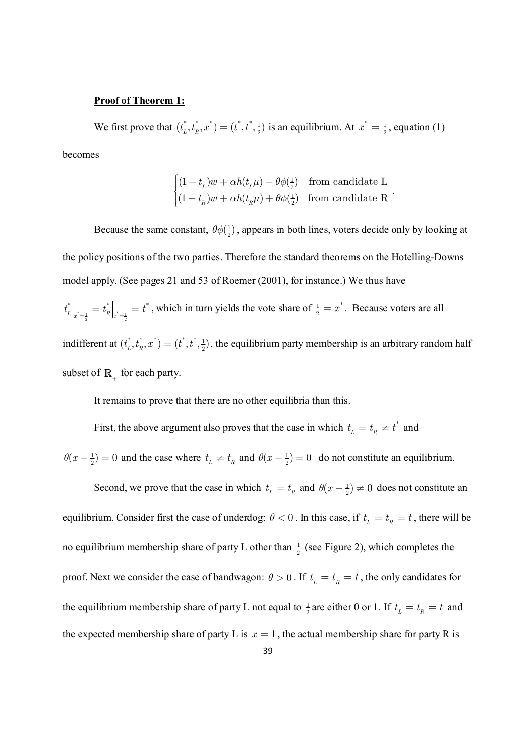#### **Proof of Theorem 1:**

We first prove that  $(t_1^*, t_n^*, x^*) = (t^*, t^*, \frac{1}{2})$  $(t_{L}^{*}, t_{R}^{*}, x^{*}) = (t^{*}, t^{*}, \frac{1}{2})$  is an equilibrium. At  $x^{*} = \frac{1}{2}$  $x^* = \frac{1}{2}$ , equation (1) becomes

$$
\begin{cases}\n(1 - t_L)w + \alpha h(t_L \mu) + \theta \phi(\frac{1}{2}) & \text{from candidate L} \\
(1 - t_R)w + \alpha h(t_R \mu) + \theta \phi(\frac{1}{2}) & \text{from candidate R}\n\end{cases}
$$

Because the same constant,  $\theta \phi \left( \frac{1}{2} \right)$  $\theta\phi(\frac{1}{2})$ , appears in both lines, voters decide only by looking at the policy positions of the two parties. Therefore the standard theorems on the Hotelling-Downs model apply. (See pages 21 and 53 of Roemer (2001), for instance.) We thus have \* $=\frac{1}{2}$   $\qquad$   $\qquad$   $\frac{1}{2}$   $\qquad$   $\frac{1}{2}$  $^*$   $+$   $^*$   $+$   $^*$  $t_L^* \Big|_{x^* = \frac{1}{2}} = t_R^* \Big|_{x^* = \frac{1}{2}} = t^*$ , which in turn yields the vote share of  $\frac{1}{2} = x^*$ . Because voters are all indifferent at  $(t_1^*, t_n^*, x^*) = (t^*, t^*, \frac{1}{2})$  $(t_L^*, t_R^*, x^*) = (t^*, t^*, \frac{1}{2})$ , the equilibrium party membership is an arbitrary random half subset of  $\mathbb{R}_+$  for each party.

It remains to prove that there are no other equilibria than this.

First, the above argument also proves that the case in which  $t<sub>r</sub> = t<sub>p</sub> \neq t<sup>*</sup>$  $t_{L} = t_{R} \neq t^{*}$  and

 $\theta(x - \frac{1}{2}) = 0$  and the case where  $t_L \neq t_R$  and  $\theta(x - \frac{1}{2}) = 0$  do not constitute an equilibrium.

Second, we prove that the case in which  $t_{\text{r}} = t_{\text{r}}$  and  $\theta(x - \frac{1}{2}) \neq 0$  does not constitute an equilibrium. Consider first the case of underdog:  $\theta < 0$ . In this case, if  $t_{L} = t_{R} = t$ , there will be no equilibrium membership share of party L other than  $\frac{1}{2}$  $\frac{1}{2}$  (see Figure 2), which completes the proof. Next we consider the case of bandwagon:  $\theta > 0$ . If  $t_{L} = t_{R} = t$ , the only candidates for the equilibrium membership share of party L not equal to  $\frac{1}{2}$  $\frac{1}{2}$  are either 0 or 1. If  $t_L = t_R = t$  and the expected membership share of party L is  $x = 1$ , the actual membership share for party R is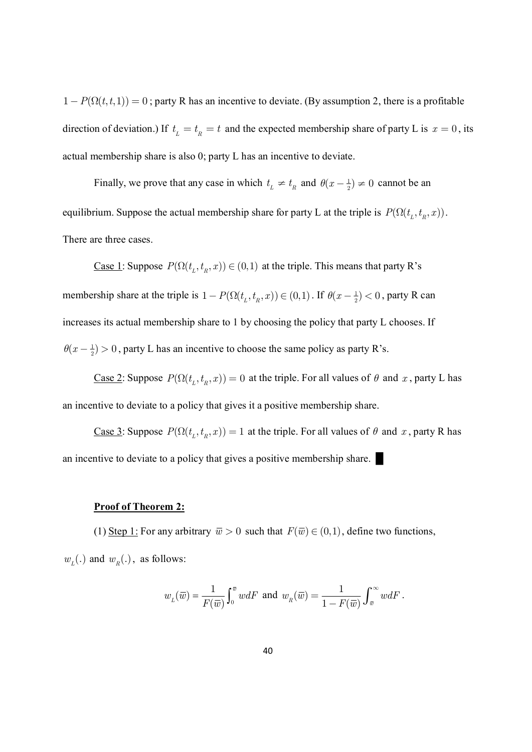$1-P(\Omega(t,t,1))=0$ ; party R has an incentive to deviate. (By assumption 2, there is a profitable direction of deviation.) If  $t_{\text{r}} = t_{\text{r}} = t$  and the expected membership share of party L is  $x = 0$ , its actual membership share is also 0; party L has an incentive to deviate.

Finally, we prove that any case in which  $t_{\perp} \neq t_{\text{R}}$  and  $\theta(x - \frac{1}{2}) \neq 0$  cannot be an equilibrium. Suppose the actual membership share for party L at the triple is  $P(\Omega(t_L, t_R, x))$ . There are three cases.

<u>Case 1</u>: Suppose  $P(\Omega(t_L, t_R, x)) \in (0,1)$  at the triple. This means that party R's membership share at the triple is  $1 - P(\Omega(t_L, t_R, x)) \in (0,1)$ . If  $\theta(x - \frac{1}{2}) < 0$ , party R can increases its actual membership share to 1 by choosing the policy that party L chooses. If  $\theta(x - \frac{1}{2}) > 0$ , party L has an incentive to choose the same policy as party R's.

Case 2: Suppose  $P(\Omega(t_L, t_R, x)) = 0$  at the triple. For all values of  $\theta$  and  $x$ , party L has an incentive to deviate to a policy that gives it a positive membership share.

Case 3: Suppose  $P(\Omega(t_L, t_R, x)) = 1$  at the triple. For all values of  $\theta$  and  $x$ , party R has an incentive to deviate to a policy that gives a positive membership share.

#### **Proof of Theorem 2:**

(1) Step 1: For any arbitrary  $\overline{w} > 0$  such that  $F(\overline{w}) \in (0,1)$ , define two functions,  $w_L(.)$  and  $w_R(.)$ , as follows:

$$
w_L(\overline{w}) = \frac{1}{F(\overline{w})} \int_0^{\overline{w}} w dF \text{ and } w_R(\overline{w}) = \frac{1}{1 - F(\overline{w})} \int_{\overline{w}}^{\infty} w dF.
$$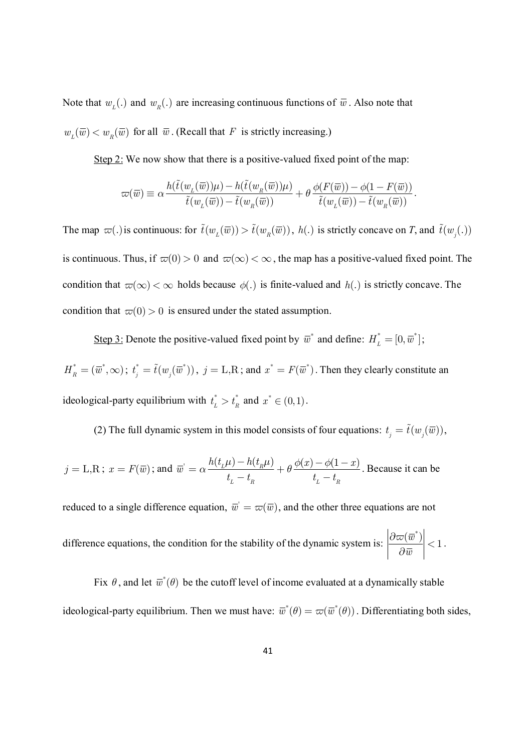Note that  $w_{\nu}$ (.) and  $w_{\nu}$ (.) are increasing continuous functions of  $\bar{w}$ . Also note that  $w_L(\overline{w}) < w_R(\overline{w})$  for all  $\overline{w}$ . (Recall that *F* is strictly increasing.)

Step 2: We now show that there is a positive-valued fixed point of the map:

$$
\varpi(\overline{w})\equiv \alpha\frac{h(\tilde{t}(w_{_L}(\overline{w}))\mu)-h(\tilde{t}(w_{_R}(\overline{w}))\mu)}{\tilde{t}(w_{_L}(\overline{w}))-\tilde{t}(w_{_R}(\overline{w}))}+\theta\frac{\phi(F(\overline{w}))-\phi(1-F(\overline{w}))}{\tilde{t}(w_{_L}(\overline{w}))-\tilde{t}(w_{_R}(\overline{w}))}.
$$

The map  $\varpi(.)$  is continuous: for  $\tilde{t}(w_{\mu}(\overline{w})) > \tilde{t}(w_{\mu}(\overline{w}))$ ,  $h(.)$  is strictly concave on *T*, and  $\tilde{t}(w_{\mu}(.))$ is continuous. Thus, if  $\overline{v}(0) > 0$  and  $\overline{v}(\infty) < \infty$ , the map has a positive-valued fixed point. The condition that  $\omega(\infty) < \infty$  holds because  $\phi(.)$  is finite-valued and  $h(.)$  is strictly concave. The condition that  $\varpi(0) > 0$  is ensured under the stated assumption.

Step 3: Denote the positive-valued fixed point by  $\overline{w}^*$  and define:  $H_L^* = [0, \overline{w}^*]$ ;

 $H_R^* = (\overline{w}^*, \infty)$ ;  $t_j^* = \tilde{t}(w_j(\overline{w}^*))$ ,  $j = L, R$ ; and  $x^* = F(\overline{w}^*)$ . Then they clearly constitute an ideological-party equilibrium with  $t_r^* > t_r^*$  $t_L^* > t_R^*$  and  $x^* \in (0,1)$ .

(2) The full dynamic system in this model consists of four equations:  $t_j = \tilde{t}(w_j(\overline{w}))$ ,

$$
j = \text{L,R}; \ x = F(\overline{w}); \text{ and } \overline{w} = \alpha \frac{h(t_L \mu) - h(t_R \mu)}{t_L - t_R} + \theta \frac{\phi(x) - \phi(1 - x)}{t_L - t_R}.
$$
 Because it can be

reduced to a single difference equation,  $\overline{w}^{\cdot} = \varpi(\overline{w})$ , and the other three equations are not

difference equations, the condition for the stability of the dynamic system is: 
$$
\left| \frac{\partial \varpi(\overline{w}^*)}{\partial \overline{w}} \right| < 1
$$
.

Fix  $\theta$ , and let  $\overline{w}^*(\theta)$  be the cutoff level of income evaluated at a dynamically stable ideological-party equilibrium. Then we must have:  $\overline{w}^*(\theta) = \varpi(\overline{w}^*(\theta))$ . Differentiating both sides,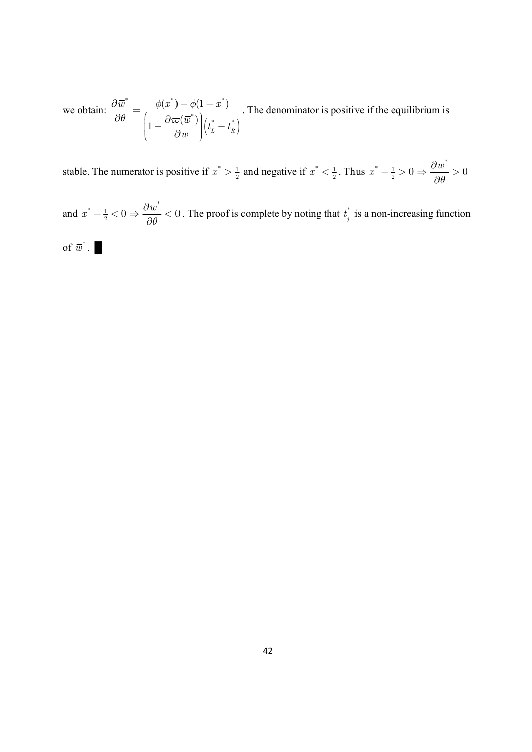we obtain:  $(t_{L} - t_{R})$ \*  $\phi(x^*)$   $\phi(1-x^*)$  $\left[\begin{array}{cc} \binom{*}{-} \end{array}\right]$   $\left( \begin{array}{cc} t^{*} & t^{*} \end{array}\right)$  $\phi(x^*) - \phi(1 - x^*)$  $\left| 1 - \frac{\partial \varpi (\overline{w}^*)}{\partial \overline{w}} \right| \left( t_L^* - t_R^* \right)$  $\overline{w}$  *z*  $\phi(x) - \phi(1-x)$  $\left|\frac{\bar{w}^*}{t}\right|$   $\left| \frac{t}{t_L} - t \right|$ *w*  $\phi(x^{\dagger}) - \phi$  $\theta$   $\begin{bmatrix} 1 & \partial \varpi \end{bmatrix}$  $\frac{\partial \overline{w}}{\partial \theta} = \frac{\phi(x^{\text{v}}) - \phi(1 - x^{\text{v}})}{\left(1 - \frac{\partial \varpi(\overline{w}^*)}{\partial \overline{w}}\right)(t^*_{\scriptscriptstyle{L}} - \right)}$ . The denominator is positive if the equilibrium is

stable. The numerator is positive if  $x^* > \frac{1}{2}$  and negative if  $x^* < \frac{1}{2}$ . Thus  $x^* - \frac{1}{2} > 0 \Rightarrow \frac{\partial \overline{w}}{\partial \theta}$  $x^* - \frac{1}{2} > 0 \Rightarrow \frac{\partial \overline{w}}{\partial \theta} > 0$  $\theta$  $-\frac{1}{2} > 0 \Rightarrow \frac{\partial \overline{w}}{\partial \theta} >$  $\partial$ 

and  $x^* - \frac{1}{2} < 0 \Rightarrow \frac{\partial \overline{w}}{\partial \theta} < 0$ *q*  $-\frac{1}{2} < 0 \Rightarrow \frac{\partial \overline{w}}{\partial \theta} <$  $\partial$ . The proof is complete by noting that  $t_i^*$  $t_j^*$  is a non-increasing function

of 
$$
\overline{w}^*
$$
.

\* *w* . █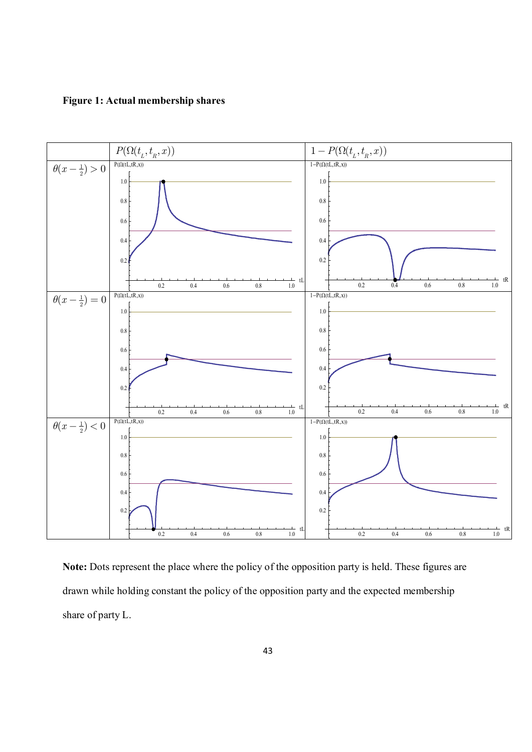**Figure 1: Actual membership shares**



**Note:** Dots represent the place where the policy of the opposition party is held. These figures are drawn while holding constant the policy of the opposition party and the expected membership share of party L.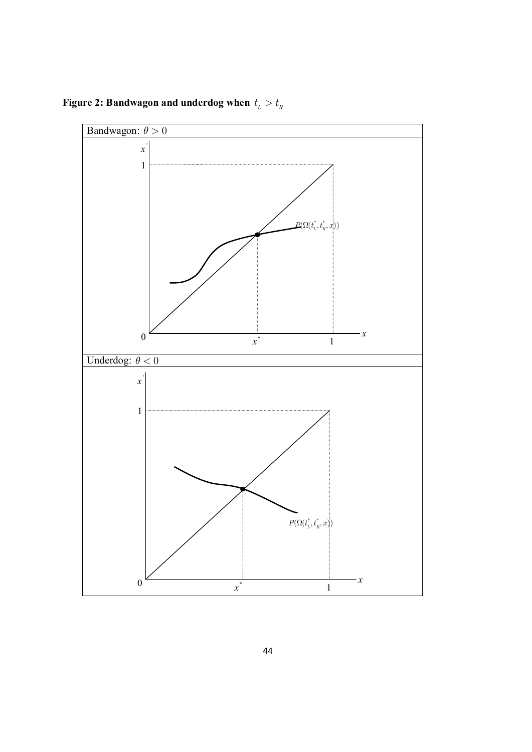Figure 2: Bandwagon and underdog when  $t_{\scriptscriptstyle L} > t_{\scriptscriptstyle R}$ 

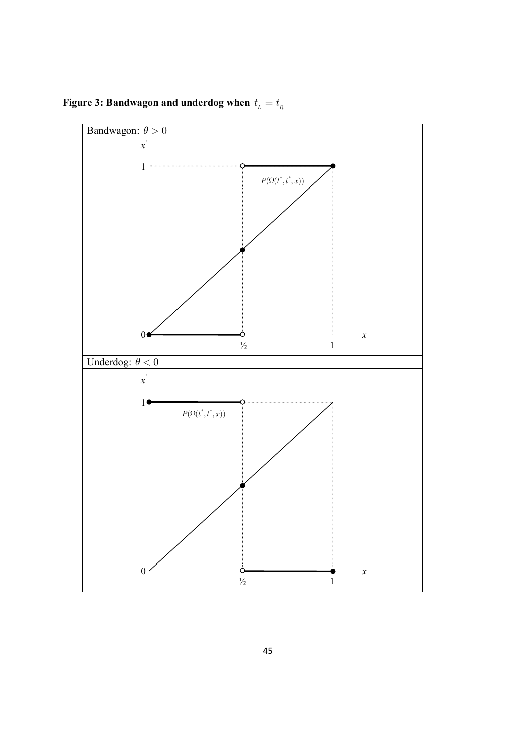**Figure 3: Bandwagon and underdog when**  $t_{\scriptscriptstyle L} = t_{\scriptscriptstyle R}$ 

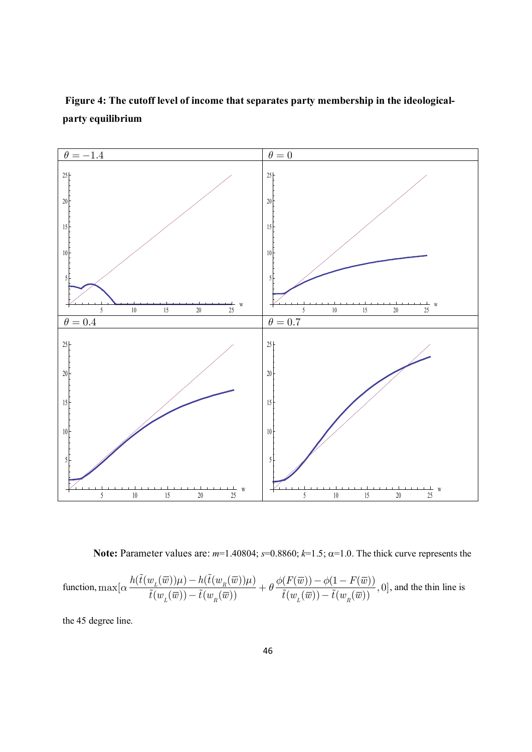

**Figure 4: The cutoff level of income that separates party membership in the ideologicalparty equilibrium**

**Note:** Parameter values are:  $m=1.40804$ ;  $s=0.8860$ ;  $k=1.5$ ;  $\alpha=1.0$ . The thick curve represents the

function, 
$$
\max[\alpha\frac{h(\tilde{t}(w_{L}(\overline{w}))\mu)-h(\tilde{t}(w_{R}(\overline{w}))\mu)}{\tilde{t}(w_{L}(\overline{w}))-\tilde{t}(w_{R}(\overline{w}))}+\theta\frac{\phi(F(\overline{w}))-\phi(1-F(\overline{w}))}{\tilde{t}(w_{L}(\overline{w}))-\tilde{t}(w_{R}(\overline{w}))},0],
$$
 and the thin line is

the 45 degree line.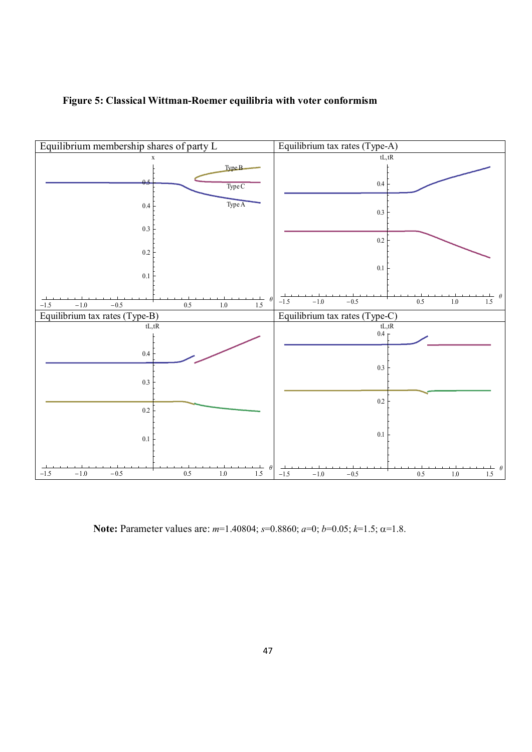



**Note:** Parameter values are: *m*=1.40804; *s*=0.8860; *a*=0; *b*=0.05; *k*=1.5; a=1.8.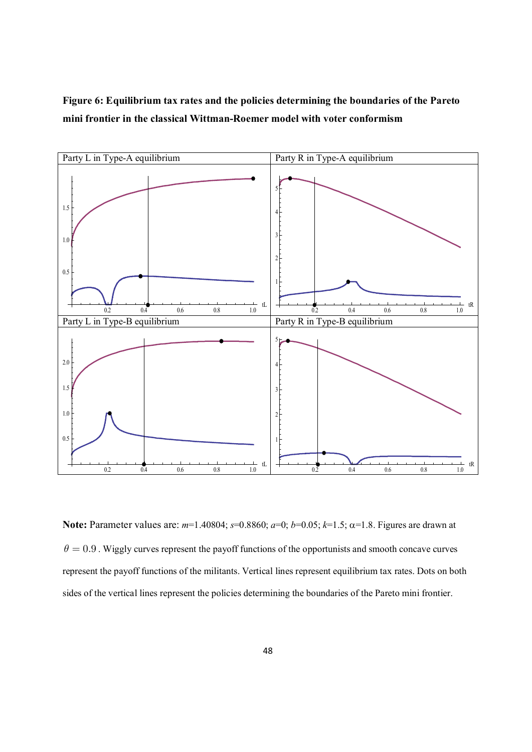**Figure 6: Equilibrium tax rates and the policies determining the boundaries of the Pareto mini frontier in the classical Wittman-Roemer model with voter conformism**



**Note:** Parameter values are: *m*=1.40804; *s*=0.8860; *a*=0; *b*=0.05; *k*=1.5; a=1.8. Figures are drawn at  $\theta = 0.9$ . Wiggly curves represent the payoff functions of the opportunists and smooth concave curves represent the payoff functions of the militants. Vertical lines represent equilibrium tax rates. Dots on both sides of the vertical lines represent the policies determining the boundaries of the Pareto mini frontier.